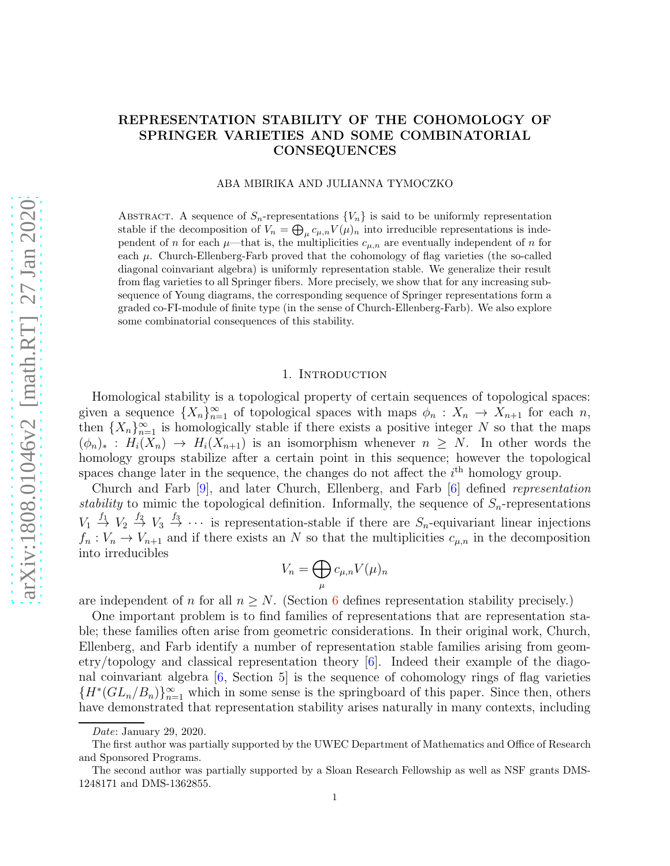# REPRESENTATION STABILITY OF THE COHOMOLOGY OF SPRINGER VARIETIES AND SOME COMBINATORIAL CONSEQUENCES

### ABA MBIRIKA AND JULIANNA TYMOCZKO

ABSTRACT. A sequence of  $S_n$ -representations  $\{V_n\}$  is said to be uniformly representation stable if the decomposition of  $V_n = \bigoplus_{\mu} c_{\mu,n} V(\mu)_n$  into irreducible representations is independent of n for each  $\mu$ —that is, the multiplicities  $c_{\mu,n}$  are eventually independent of n for each  $\mu$ . Church-Ellenberg-Farb proved that the cohomology of flag varieties (the so-called diagonal coinvariant algebra) is uniformly representation stable. We generalize their result from flag varieties to all Springer fibers. More precisely, we show that for any increasing subsequence of Young diagrams, the corresponding sequence of Springer representations form a graded co-FI-module of finite type (in the sense of Church-Ellenberg-Farb). We also explore some combinatorial consequences of this stability.

### 1. INTRODUCTION

Homological stability is a topological property of certain sequences of topological spaces: given a sequence  $\{X_n\}_{n=1}^{\infty}$  of topological spaces with maps  $\phi_n: X_n \to X_{n+1}$  for each n, then  ${X_n}_{n=1}^{\infty}$  is homologically stable if there exists a positive integer N so that the maps  $(\phi_n)_*: H_i(X_n) \to H_i(X_{n+1})$  is an isomorphism whenever  $n \geq N$ . In other words the homology groups stabilize after a certain point in this sequence; however the topological spaces change later in the sequence, the changes do not affect the  $i<sup>th</sup>$  homology group.

Church and Farb [\[9\]](#page-19-0), and later Church, Ellenberg, and Farb [\[6\]](#page-19-1) defined *representation stability* to mimic the topological definition. Informally, the sequence of  $S_n$ -representations  $V_1 \stackrel{f_1}{\rightarrow} V_2 \stackrel{f_2}{\rightarrow} V_3 \stackrel{f_3}{\rightarrow} \cdots$  is representation-stable if there are  $S_n$ -equivariant linear injections  $f_n: V_n \to V_{n+1}$  and if there exists an N so that the multiplicities  $c_{\mu,n}$  in the decomposition into irreducibles

$$
V_n = \bigoplus_{\mu} c_{\mu,n} V(\mu)_n
$$

are independent of n for all  $n \geq N$ . (Section [6](#page-11-0) defines representation stability precisely.)

One important problem is to find families of representations that are representation stable; these families often arise from geometric considerations. In their original work, Church, Ellenberg, and Farb identify a number of representation stable families arising from geometry/topology and classical representation theory [\[6\]](#page-19-1). Indeed their example of the diagonal coinvariant algebra [\[6,](#page-19-1) Section 5] is the sequence of cohomology rings of flag varieties  ${H^*(GL_n/B_n)}_{n=1}^{\infty}$  which in some sense is the springboard of this paper. Since then, others have demonstrated that representation stability arises naturally in many contexts, including

Date: January 29, 2020.

The first author was partially supported by the UWEC Department of Mathematics and Office of Research and Sponsored Programs.

The second author was partially supported by a Sloan Research Fellowship as well as NSF grants DMS-1248171 and DMS-1362855.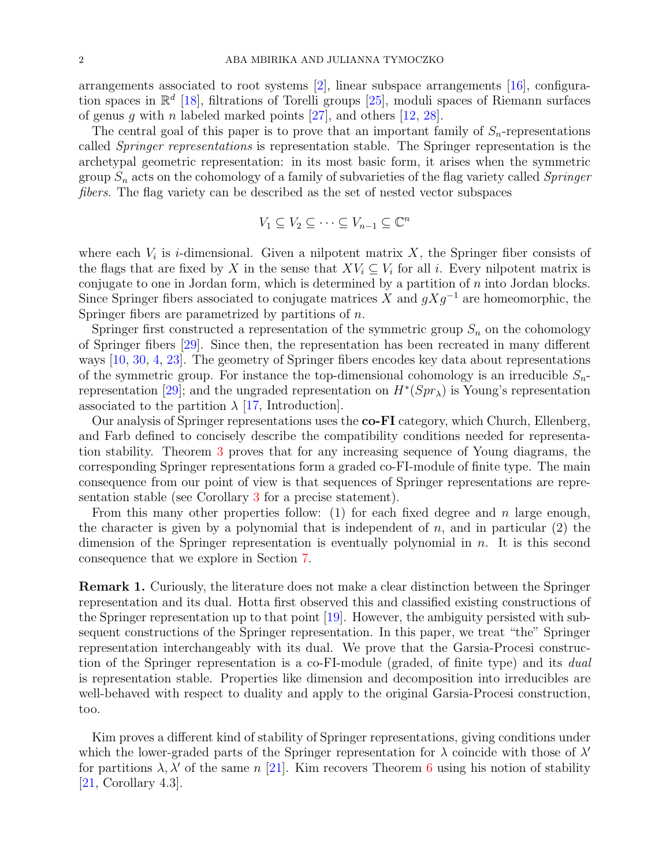arrangements associated to root systems [\[2\]](#page-19-2), linear subspace arrangements [\[16\]](#page-19-3), configuration spaces in  $\mathbb{R}^d$  [\[18\]](#page-19-4), filtrations of Torelli groups [\[25\]](#page-19-5), moduli spaces of Riemann surfaces of genus q with n labeled marked points  $[27]$ , and others  $[12, 28]$  $[12, 28]$ .

The central goal of this paper is to prove that an important family of  $S_n$ -representations called *Springer representations* is representation stable. The Springer representation is the archetypal geometric representation: in its most basic form, it arises when the symmetric group S<sup>n</sup> acts on the cohomology of a family of subvarieties of the flag variety called *Springer fibers*. The flag variety can be described as the set of nested vector subspaces

$$
V_1 \subseteq V_2 \subseteq \cdots \subseteq V_{n-1} \subseteq \mathbb{C}^n
$$

where each  $V_i$  is *i*-dimensional. Given a nilpotent matrix X, the Springer fiber consists of the flags that are fixed by X in the sense that  $XV_i \subseteq V_i$  for all i. Every nilpotent matrix is conjugate to one in Jordan form, which is determined by a partition of  $n$  into Jordan blocks. Since Springer fibers associated to conjugate matrices X and  $gXg^{-1}$  are homeomorphic, the Springer fibers are parametrized by partitions of n.

Springer first constructed a representation of the symmetric group  $S_n$  on the cohomology of Springer fibers [\[29\]](#page-20-2). Since then, the representation has been recreated in many different ways [\[10,](#page-19-7) [30,](#page-20-3) [4,](#page-19-8) [23\]](#page-19-9). The geometry of Springer fibers encodes key data about representations of the symmetric group. For instance the top-dimensional cohomology is an irreducible  $S_n$ -representation [\[29\]](#page-20-2); and the ungraded representation on  $H^*(Spr_\lambda)$  is Young's representation associated to the partition  $\lambda$  [\[17,](#page-19-10) Introduction].

Our analysis of Springer representations uses the co-FI category, which Church, Ellenberg, and Farb defined to concisely describe the compatibility conditions needed for representation stability. Theorem [3](#page-9-0) proves that for any increasing sequence of Young diagrams, the corresponding Springer representations form a graded co-FI-module of finite type. The main consequence from our point of view is that sequences of Springer representations are representation stable (see Corollary [3](#page-12-0) for a precise statement).

From this many other properties follow: (1) for each fixed degree and n large enough, the character is given by a polynomial that is independent of  $n$ , and in particular  $(2)$  the dimension of the Springer representation is eventually polynomial in  $n$ . It is this second consequence that we explore in Section [7.](#page-13-0)

<span id="page-1-0"></span>Remark 1. Curiously, the literature does not make a clear distinction between the Springer representation and its dual. Hotta first observed this and classified existing constructions of the Springer representation up to that point [\[19\]](#page-19-11). However, the ambiguity persisted with subsequent constructions of the Springer representation. In this paper, we treat "the" Springer representation interchangeably with its dual. We prove that the Garsia-Procesi construction of the Springer representation is a co-FI-module (graded, of finite type) and its *dual* is representation stable. Properties like dimension and decomposition into irreducibles are well-behaved with respect to duality and apply to the original Garsia-Procesi construction, too.

Kim proves a different kind of stability of Springer representations, giving conditions under which the lower-graded parts of the Springer representation for  $\lambda$  coincide with those of  $\lambda'$ for partitions  $\lambda$ ,  $\lambda'$  of the same n [\[21\]](#page-19-12). Kim recovers Theorem [6](#page-15-0) using his notion of stability [\[21,](#page-19-12) Corollary 4.3].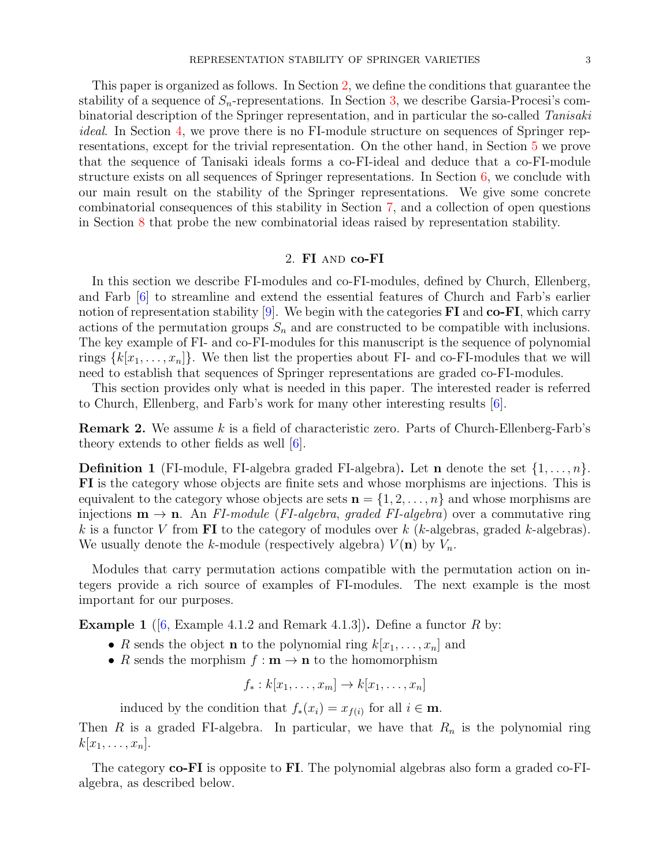This paper is organized as follows. In Section [2,](#page-2-0) we define the conditions that guarantee the stability of a sequence of  $S_n$ -representations. In Section [3,](#page-5-0) we describe Garsia-Procesi's combinatorial description of the Springer representation, and in particular the so-called *Tanisaki ideal*. In Section [4,](#page-8-0) we prove there is no FI-module structure on sequences of Springer representations, except for the trivial representation. On the other hand, in Section [5](#page-9-1) we prove that the sequence of Tanisaki ideals forms a co-FI-ideal and deduce that a co-FI-module structure exists on all sequences of Springer representations. In Section [6,](#page-11-0) we conclude with our main result on the stability of the Springer representations. We give some concrete combinatorial consequences of this stability in Section [7,](#page-13-0) and a collection of open questions in Section [8](#page-17-0) that probe the new combinatorial ideas raised by representation stability.

## 2. FI and co-FI

<span id="page-2-0"></span>In this section we describe FI-modules and co-FI-modules, defined by Church, Ellenberg, and Farb [\[6\]](#page-19-1) to streamline and extend the essential features of Church and Farb's earlier notion of representation stability  $[9]$ . We begin with the categories FI and co-FI, which carry actions of the permutation groups  $S_n$  and are constructed to be compatible with inclusions. The key example of FI- and co-FI-modules for this manuscript is the sequence of polynomial rings  $\{k[x_1, \ldots, x_n]\}$ . We then list the properties about FI- and co-FI-modules that we will need to establish that sequences of Springer representations are graded co-FI-modules.

This section provides only what is needed in this paper. The interested reader is referred to Church, Ellenberg, and Farb's work for many other interesting results [\[6\]](#page-19-1).

Remark 2. We assume k is a field of characteristic zero. Parts of Church-Ellenberg-Farb's theory extends to other fields as well [\[6\]](#page-19-1).

**Definition 1** (FI-module, FI-algebra graded FI-algebra). Let **n** denote the set  $\{1, \ldots, n\}$ . FI is the category whose objects are finite sets and whose morphisms are injections. This is equivalent to the category whose objects are sets  $\mathbf{n} = \{1, 2, \ldots, n\}$  and whose morphisms are injections  $\mathbf{m} \to \mathbf{n}$ . An *FI-module* (*FI-algebra*, *graded FI-algebra*) over a commutative ring k is a functor V from **FI** to the category of modules over k (k-algebras, graded k-algebras). We usually denote the k-module (respectively algebra)  $V(\mathbf{n})$  by  $V_n$ .

Modules that carry permutation actions compatible with the permutation action on integers provide a rich source of examples of FI-modules. The next example is the most important for our purposes.

**Example 1** ([\[6,](#page-19-1) Example 4.1.2 and Remark 4.1.3]). Define a functor R by:

- R sends the object **n** to the polynomial ring  $k[x_1, \ldots, x_n]$  and
- R sends the morphism  $f : \mathbf{m} \to \mathbf{n}$  to the homomorphism

$$
f_*: k[x_1,\ldots,x_m] \to k[x_1,\ldots,x_n]
$$

induced by the condition that  $f_*(x_i) = x_{f(i)}$  for all  $i \in \mathbf{m}$ .

Then R is a graded FI-algebra. In particular, we have that  $R_n$  is the polynomial ring  $k[x_1,\ldots,x_n].$ 

The category **co-FI** is opposite to FI. The polynomial algebras also form a graded co-FIalgebra, as described below.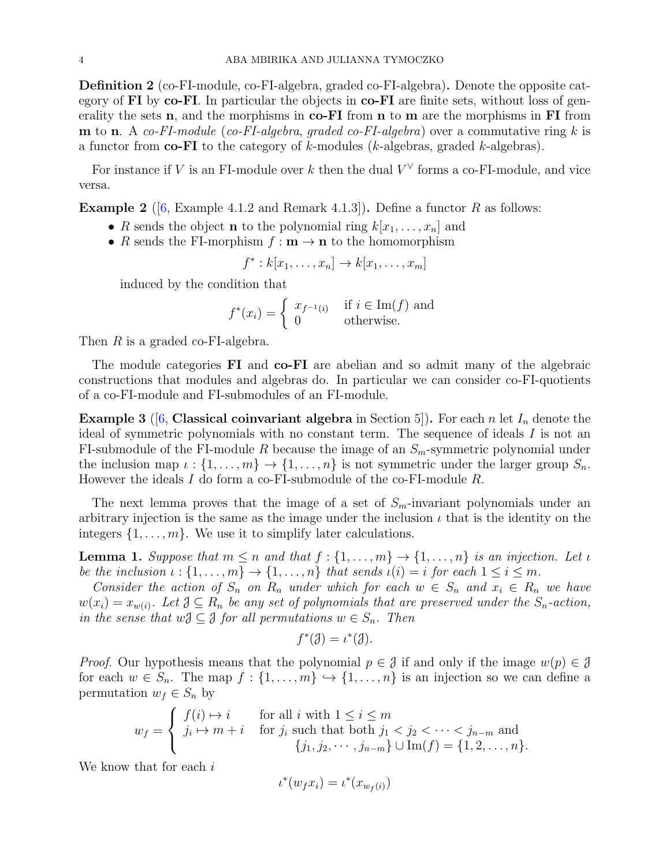Definition 2 (co-FI-module, co-FI-algebra, graded co-FI-algebra). Denote the opposite category of  $\bf{FI}$  by co- $\bf{FI}$ . In particular the objects in co- $\bf{FI}$  are finite sets, without loss of generality the sets  $n$ , and the morphisms in  $co-FI$  from  $n$  to  $m$  are the morphisms in FI from m to n. A *co-FI-module* (*co-FI-algebra*, *graded co-FI-algebra*) over a commutative ring k is a functor from  $\mathbf{co}\text{-}\mathbf{FI}$  to the category of k-modules (k-algebras, graded k-algebras).

For instance if V is an FI-module over k then the dual  $V^{\vee}$  forms a co-FI-module, and vice versa.

**Example 2** ([\[6,](#page-19-1) Example 4.1.2 and Remark 4.1.3]). Define a functor R as follows:

- R sends the object **n** to the polynomial ring  $k[x_1, \ldots, x_n]$  and
- R sends the FI-morphism  $f : \mathbf{m} \to \mathbf{n}$  to the homomorphism

$$
f^*: k[x_1,\ldots,x_n] \to k[x_1,\ldots,x_m]
$$

induced by the condition that

$$
f^*(x_i) = \begin{cases} x_{f^{-1}(i)} & \text{if } i \in \text{Im}(f) \text{ and} \\ 0 & \text{otherwise.} \end{cases}
$$

Then R is a graded co-FI-algebra.

The module categories FI and co-FI are abelian and so admit many of the algebraic constructions that modules and algebras do. In particular we can consider co-FI-quotients of a co-FI-module and FI-submodules of an FI-module.

<span id="page-3-1"></span>**Example 3** ([\[6,](#page-19-1) Classical coinvariant algebra in Section 5]). For each n let  $I_n$  denote the ideal of symmetric polynomials with no constant term. The sequence of ideals I is not an FI-submodule of the FI-module R because the image of an  $S_m$ -symmetric polynomial under the inclusion map  $\iota : \{1, \ldots, m\} \to \{1, \ldots, n\}$  is not symmetric under the larger group  $S_n$ . However the ideals I do form a co-FI-submodule of the co-FI-module R.

The next lemma proves that the image of a set of  $S_m$ -invariant polynomials under an arbitrary injection is the same as the image under the inclusion  $\iota$  that is the identity on the integers  $\{1, \ldots, m\}$ . We use it to simplify later calculations.

<span id="page-3-0"></span>**Lemma 1.** Suppose that  $m \leq n$  and that  $f: \{1, \ldots, m\} \to \{1, \ldots, n\}$  is an injection. Let  $\iota$ *be the inclusion*  $\iota : \{1, \ldots, m\} \to \{1, \ldots, n\}$  *that sends*  $\iota(i) = i$  *for each*  $1 \leq i \leq m$ *.* 

*Consider the action of*  $S_n$  *on*  $R_n$  *under which for each*  $w \in S_n$  *and*  $x_i \in R_n$  *we have*  $w(x_i) = x_{w(i)}$ . Let  $\mathcal{J} \subseteq R_n$  be any set of polynomials that are preserved under the  $S_n$ -action, *in the sense that*  $w \in \mathcal{S}$  *for all permutations*  $w \in S_n$ *. Then* 

$$
f^*(\mathcal{J}) = \iota^*(\mathcal{J}).
$$

*Proof.* Our hypothesis means that the polynomial  $p \in \mathcal{J}$  if and only if the image  $w(p) \in \mathcal{J}$ for each  $w \in S_n$ . The map  $f : \{1, \ldots, m\} \hookrightarrow \{1, \ldots, n\}$  is an injection so we can define a permutation  $w_f \in S_n$  by

$$
w_f = \begin{cases} f(i) \mapsto i & \text{for all } i \text{ with } 1 \le i \le m \\ j_i \mapsto m + i & \text{for } j_i \text{ such that both } j_1 < j_2 < \cdots < j_{n-m} \text{ and} \\ \{j_1, j_2, \cdots, j_{n-m}\} \cup \text{Im}(f) = \{1, 2, \ldots, n\}. \end{cases}
$$

We know that for each i

$$
\iota^*(w_f x_i) = \iota^*(x_{w_f(i)})
$$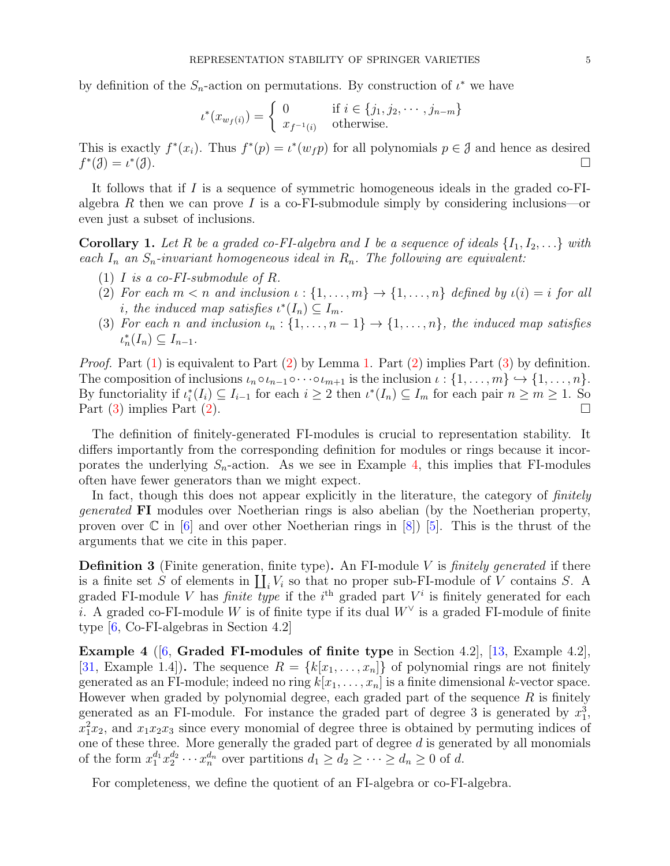by definition of the  $S_n$ -action on permutations. By construction of  $\iota^*$  we have

$$
\iota^*(x_{w_f(i)}) = \begin{cases} 0 & \text{if } i \in \{j_1, j_2, \cdots, j_{n-m}\} \\ x_{f^{-1}(i)} & \text{otherwise.} \end{cases}
$$

This is exactly  $f^*(x_i)$ . Thus  $f^*(p) = \iota^*(w_f p)$  for all polynomials  $p \in \mathcal{J}$  and hence as desired  $f^*(\mathcal{J}) = \iota^*$  $\Box$   $\Box$ 

It follows that if  $I$  is a sequence of symmetric homogeneous ideals in the graded co-FIalgebra R then we can prove I is a co-FI-submodule simply by considering inclusions—or even just a subset of inclusions.

<span id="page-4-5"></span><span id="page-4-0"></span>**Corollary 1.** Let R be a graded co-FI-algebra and I be a sequence of ideals  $\{I_1, I_2, \ldots\}$  with *each*  $I_n$  *an*  $S_n$ -invariant homogeneous ideal in  $R_n$ . The following are equivalent:

- <span id="page-4-1"></span>(1) I *is a co-FI-submodule of* R*.*
- (2) For each  $m < n$  and inclusion  $\iota : \{1, \ldots, m\} \to \{1, \ldots, n\}$  defined by  $\iota(i) = i$  for all *i*, the induced map satisfies  $\iota^{*}(I_n) \subseteq I_m$ .
- <span id="page-4-2"></span>(3) For each *n* and inclusion  $\iota_n : \{1, \ldots, n-1\} \to \{1, \ldots, n\}$ , the induced map satisfies  $\iota_n^*(I_n) \subseteq I_{n-1}.$

*Proof.* Part [\(1\)](#page-4-0) is equivalent to Part [\(2\)](#page-4-1) by Lemma [1.](#page-3-0) Part (2) implies Part [\(3\)](#page-4-2) by definition. The composition of inclusions  $\iota_n \circ \iota_{n-1} \circ \cdots \circ \iota_{m+1}$  is the inclusion  $\iota : \{1, \ldots, m\} \hookrightarrow \{1, \ldots, n\}.$ By functoriality if  $\iota_i^*(I_i) \subseteq I_{i-1}$  for each  $i \geq 2$  then  $\iota^*(I_n) \subseteq I_m$  for each pair  $n \geq m \geq 1$ . So Part [\(3\)](#page-4-2) implies Part [\(2\)](#page-4-1).

The definition of finitely-generated FI-modules is crucial to representation stability. It differs importantly from the corresponding definition for modules or rings because it incorporates the underlying  $S_n$ -action. As we see in Example [4,](#page-4-3) this implies that FI-modules often have fewer generators than we might expect.

In fact, though this does not appear explicitly in the literature, the category of *finitely generated* FI modules over Noetherian rings is also abelian (by the Noetherian property, proven over  $\mathbb C$  in [\[6\]](#page-19-1) and over other Noetherian rings in [\[8\]](#page-19-13)) [\[5\]](#page-19-14). This is the thrust of the arguments that we cite in this paper.

<span id="page-4-4"></span>Definition 3 (Finite generation, finite type). An FI-module V is *finitely generated* if there is a finite set S of elements in  $\coprod_i V_i$  so that no proper sub-FI-module of V contains S. A graded FI-module V has *finite type* if the  $i<sup>th</sup>$  graded part  $V<sup>i</sup>$  is finitely generated for each i. A graded co-FI-module W is of finite type if its dual  $W^{\vee}$  is a graded FI-module of finite type [\[6,](#page-19-1) Co-FI-algebras in Section 4.2]

<span id="page-4-3"></span>Example 4 ([\[6,](#page-19-1) Graded FI-modules of finite type in Section 4.2], [\[13,](#page-19-15) Example 4.2], [\[31,](#page-20-4) Example 1.4]). The sequence  $R = \{k[x_1, \ldots, x_n]\}\$  of polynomial rings are not finitely generated as an FI-module; indeed no ring  $k[x_1, \ldots, x_n]$  is a finite dimensional k-vector space. However when graded by polynomial degree, each graded part of the sequence  $R$  is finitely generated as an FI-module. For instance the graded part of degree 3 is generated by  $x_1^3$ ,  $x_1^2x_2$ , and  $x_1x_2x_3$  since every monomial of degree three is obtained by permuting indices of one of these three. More generally the graded part of degree  $d$  is generated by all monomials of the form  $x_1^{d_1} x_2^{d_2}$  $a_2^{d_2} \cdots x_n^{d_n}$  over partitions  $d_1 \geq d_2 \geq \cdots \geq d_n \geq 0$  of d.

For completeness, we define the quotient of an FI-algebra or co-FI-algebra.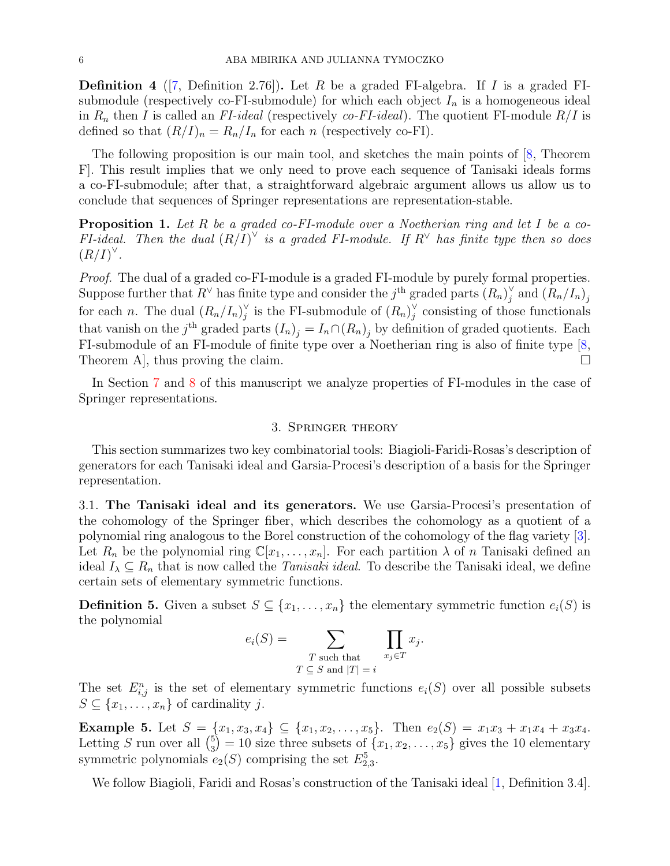**Definition 4** ([\[7,](#page-19-16) Definition 2.76]). Let R be a graded FI-algebra. If I is a graded FIsubmodule (respectively co-FI-submodule) for which each object  $I_n$  is a homogeneous ideal in  $R_n$  then I is called an *FI-ideal* (respectively *co-FI-ideal*). The quotient FI-module  $R/I$  is defined so that  $(R/I)_n = R_n/I_n$  for each n (respectively co-FI).

The following proposition is our main tool, and sketches the main points of [\[8,](#page-19-13) Theorem F]. This result implies that we only need to prove each sequence of Tanisaki ideals forms a co-FI-submodule; after that, a straightforward algebraic argument allows us allow us to conclude that sequences of Springer representations are representation-stable.

<span id="page-5-1"></span>Proposition 1. *Let* R *be a graded co-FI-module over a Noetherian ring and let* I *be a co-FI-ideal.* Then the dual  $(R/I)^{\vee}$  is a graded FI-module. If  $R^{\vee}$  has finite type then so does  $(R/I)^{\vee}$ .

*Proof.* The dual of a graded co-FI-module is a graded FI-module by purely formal properties. Suppose further that  $R^{\vee}$  has finite type and consider the j<sup>th</sup> graded parts  $(R_n)^{\vee}$  $j$  and  $(R_n/I_n)_j$ for each *n*. The dual  $(R_n/I_n)_i^{\vee}$  $_j^\vee$  is the FI-submodule of  $(R_n)_j^\vee$  $j$  consisting of those functionals that vanish on the j<sup>th</sup> graded parts  $(I_n)_j = I_n \cap (R_n)_j$  by definition of graded quotients. Each FI-submodule of an FI-module of finite type over a Noetherian ring is also of finite type [\[8,](#page-19-13) Theorem A], thus proving the claim.

<span id="page-5-0"></span>In Section [7](#page-13-0) and [8](#page-17-0) of this manuscript we analyze properties of FI-modules in the case of Springer representations.

## 3. Springer theory

This section summarizes two key combinatorial tools: Biagioli-Faridi-Rosas's description of generators for each Tanisaki ideal and Garsia-Procesi's description of a basis for the Springer representation.

3.1. The Tanisaki ideal and its generators. We use Garsia-Procesi's presentation of the cohomology of the Springer fiber, which describes the cohomology as a quotient of a polynomial ring analogous to the Borel construction of the cohomology of the flag variety [\[3\]](#page-19-17). Let  $R_n$  be the polynomial ring  $\mathbb{C}[x_1,\ldots,x_n]$ . For each partition  $\lambda$  of n Tanisaki defined an ideal  $I_{\lambda} \subseteq R_n$  that is now called the *Tanisaki ideal*. To describe the Tanisaki ideal, we define certain sets of elementary symmetric functions.

**Definition 5.** Given a subset  $S \subseteq \{x_1, \ldots, x_n\}$  the elementary symmetric function  $e_i(S)$  is the polynomial

$$
e_i(S) = \sum_{\substack{T \text{ such that} \\ T \subseteq S \text{ and } |T| = i}} \prod_{x_j \in T} x_j
$$

.

The set  $E_{i,j}^n$  is the set of elementary symmetric functions  $e_i(S)$  over all possible subsets  $S \subseteq \{x_1, \ldots, x_n\}$  of cardinality j.

Example 5. Let  $S = \{x_1, x_3, x_4\} \subseteq \{x_1, x_2, \ldots, x_5\}$ . Then  $e_2(S) = x_1x_3 + x_1x_4 + x_3x_4$ . Letting S run over all  $\binom{5}{3}$  $\binom{5}{3} = 10$  size three subsets of  $\{x_1, x_2, \ldots, x_5\}$  gives the 10 elementary symmetric polynomials  $e_2(S)$  comprising the set  $E_{2,3}^5$ .

We follow Biagioli, Faridi and Rosas's construction of the Tanisaki ideal [\[1,](#page-19-18) Definition 3.4].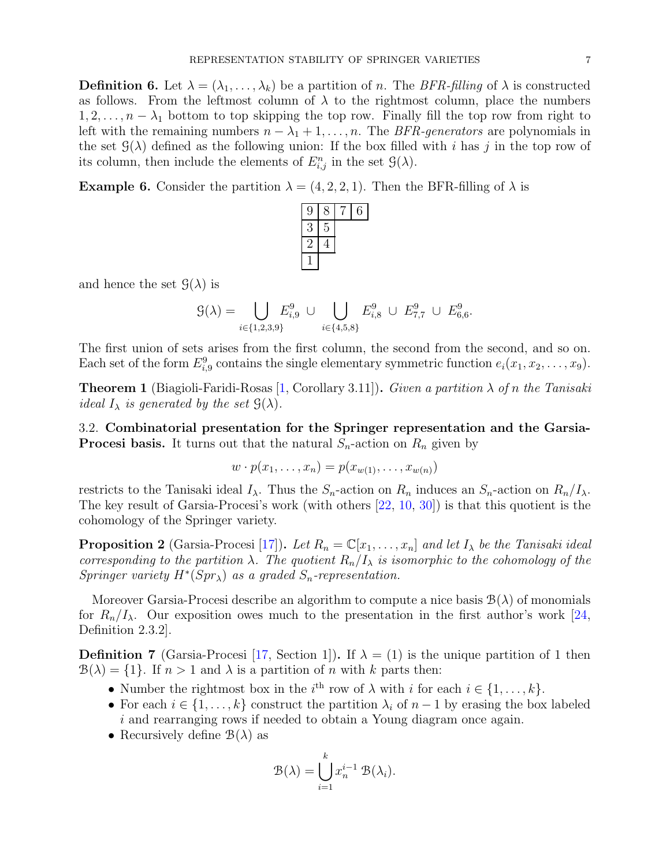**Definition 6.** Let  $\lambda = (\lambda_1, \ldots, \lambda_k)$  be a partition of n. The *BFR-filling* of  $\lambda$  is constructed as follows. From the leftmost column of  $\lambda$  to the rightmost column, place the numbers  $1, 2, \ldots, n - \lambda_1$  bottom to top skipping the top row. Finally fill the top row from right to left with the remaining numbers  $n - \lambda_1 + 1, \ldots, n$ . The *BFR-generators* are polynomials in the set  $\mathcal{G}(\lambda)$  defined as the following union: If the box filled with i has j in the top row of its column, then include the elements of  $E_{i,j}^n$  in the set  $\mathcal{G}(\lambda)$ .

**Example 6.** Consider the partition  $\lambda = (4, 2, 2, 1)$ . Then the BFR-filling of  $\lambda$  is



and hence the set  $\mathcal{G}(\lambda)$  is

$$
\mathcal{G}(\lambda) = \bigcup_{i \in \{1, 2, 3, 9\}} E_{i, 9}^{9} \cup \bigcup_{i \in \{4, 5, 8\}} E_{i, 8}^{9} \cup E_{7, 7}^{9} \cup E_{6, 6}^{9}.
$$

The first union of sets arises from the first column, the second from the second, and so on. Each set of the form  $E_{i,9}^9$  contains the single elementary symmetric function  $e_i(x_1, x_2, \ldots, x_9)$ .

Theorem 1 (Biagioli-Faridi-Rosas [\[1,](#page-19-18) Corollary 3.11]). *Given a partition* λ *of* n *the Tanisaki ideal*  $I_{\lambda}$  *is generated by the set*  $\mathcal{G}(\lambda)$ *.* 

3.2. Combinatorial presentation for the Springer representation and the Garsia-**Procesi basis.** It turns out that the natural  $S_n$ -action on  $R_n$  given by

$$
w \cdot p(x_1, \ldots, x_n) = p(x_{w(1)}, \ldots, x_{w(n)})
$$

restricts to the Tanisaki ideal  $I_\lambda$ . Thus the  $S_n$ -action on  $R_n$  induces an  $S_n$ -action on  $R_n/I_\lambda$ . The key result of Garsia-Procesi's work (with others [\[22,](#page-19-19) [10,](#page-19-7) [30\]](#page-20-3)) is that this quotient is the cohomology of the Springer variety.

**Proposition 2** (Garsia-Procesi [\[17\]](#page-19-10)). Let  $R_n = \mathbb{C}[x_1, \ldots, x_n]$  and let  $I_\lambda$  be the Tanisaki ideal *corresponding to the partition*  $\lambda$ *. The quotient*  $R_n/I_\lambda$  *is isomorphic to the cohomology of the Springer variety*  $H^*(Spr_\lambda)$  *as a graded*  $S_n$ -representation.

Moreover Garsia-Procesi describe an algorithm to compute a nice basis  $\mathcal{B}(\lambda)$  of monomials for  $R_n/I_\lambda$ . Our exposition owes much to the presentation in the first author's work [\[24,](#page-19-20) Definition 2.3.2].

**Definition 7** (Garsia-Procesi [\[17,](#page-19-10) Section 1]). If  $\lambda = (1)$  is the unique partition of 1 then  $B(\lambda) = \{1\}$ . If  $n > 1$  and  $\lambda$  is a partition of n with k parts then:

- Number the rightmost box in the  $i^{\text{th}}$  row of  $\lambda$  with  $i$  for each  $i \in \{1, \ldots, k\}$ .
- For each  $i \in \{1, \ldots, k\}$  construct the partition  $\lambda_i$  of  $n-1$  by erasing the box labeled i and rearranging rows if needed to obtain a Young diagram once again.
- Recursively define  $\mathcal{B}(\lambda)$  as

$$
\mathcal{B}(\lambda) = \bigcup_{i=1}^{k} x_n^{i-1} \mathcal{B}(\lambda_i).
$$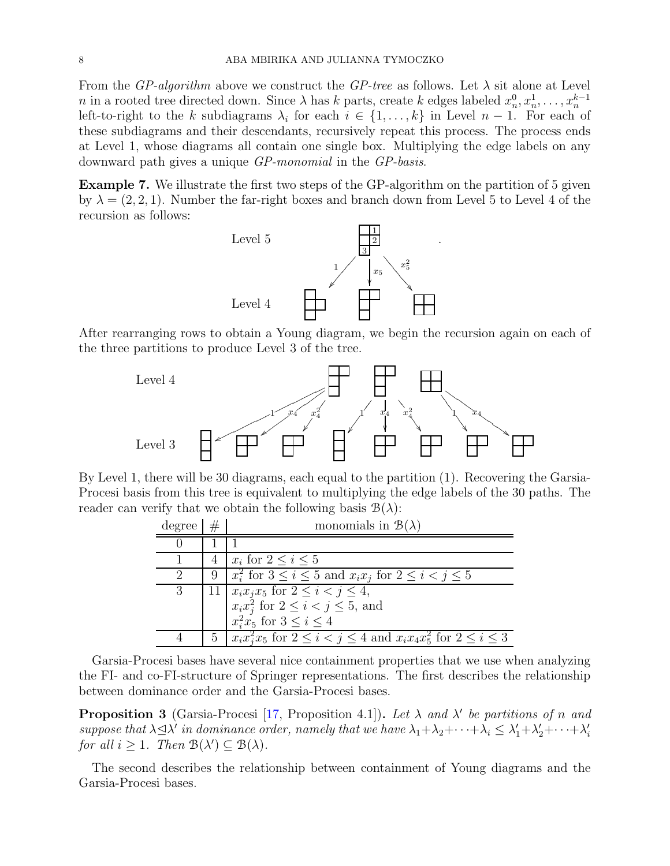From the *GP-algorithm* above we construct the *GP-tree* as follows. Let  $\lambda$  sit alone at Level n in a rooted tree directed down. Since  $\lambda$  has k parts, create k edges labeled  $x_n^0, x_n^1, \ldots, x_n^{k-1}$ left-to-right to the k subdiagrams  $\lambda_i$  for each  $i \in \{1, ..., k\}$  in Level  $n-1$ . For each of these subdiagrams and their descendants, recursively repeat this process. The process ends at Level 1, whose diagrams all contain one single box. Multiplying the edge labels on any downward path gives a unique *GP-monomial* in the *GP-basis*.

<span id="page-7-1"></span>Example 7. We illustrate the first two steps of the GP-algorithm on the partition of 5 given by  $\lambda = (2, 2, 1)$ . Number the far-right boxes and branch down from Level 5 to Level 4 of the recursion as follows:

.



After rearranging rows to obtain a Young diagram, we begin the recursion again on each of the three partitions to produce Level 3 of the tree.



By Level 1, there will be 30 diagrams, each equal to the partition (1). Recovering the Garsia-Procesi basis from this tree is equivalent to multiplying the edge labels of the 30 paths. The reader can verify that we obtain the following basis  $\mathcal{B}(\lambda)$ :

| degree $\vert \#$ | monomials in $\mathcal{B}(\lambda)$                                                      |
|-------------------|------------------------------------------------------------------------------------------|
|                   |                                                                                          |
|                   | $x_i$ for $2 \leq i \leq 5$                                                              |
|                   | 9   $x_i^2$ for $3 \leq i \leq 5$ and $x_i x_j$ for $2 \leq i < j \leq 5$                |
|                   | 11 $x_ix_jx_5$ for $2 \leq i < j \leq 4$ ,<br>$x_ix_j^2$ for $2 \leq i < j \leq 5$ , and |
|                   |                                                                                          |
|                   | $x_i^2x_5$ for $3 < i < 4$                                                               |
|                   | 5   $x_i x_i^2 x_5$ for $2 \le i < j \le 4$ and $x_i x_4 x_5^2$ for $2 \le i \le 3$      |

Garsia-Procesi bases have several nice containment properties that we use when analyzing the FI- and co-FI-structure of Springer representations. The first describes the relationship between dominance order and the Garsia-Procesi bases.

<span id="page-7-0"></span>**Proposition 3** (Garsia-Procesi [\[17,](#page-19-10) Proposition 4.1]). Let  $\lambda$  and  $\lambda'$  be partitions of n and suppose that  $\lambda \leq \lambda'$  in dominance order, namely that we have  $\lambda_1 + \lambda_2 + \cdots + \lambda_i \leq \lambda'_1 + \lambda'_2 + \cdots + \lambda'_i$ *for all*  $i \geq 1$ *. Then*  $B(\lambda') \subseteq B(\lambda)$ *.* 

The second describes the relationship between containment of Young diagrams and the Garsia-Procesi bases.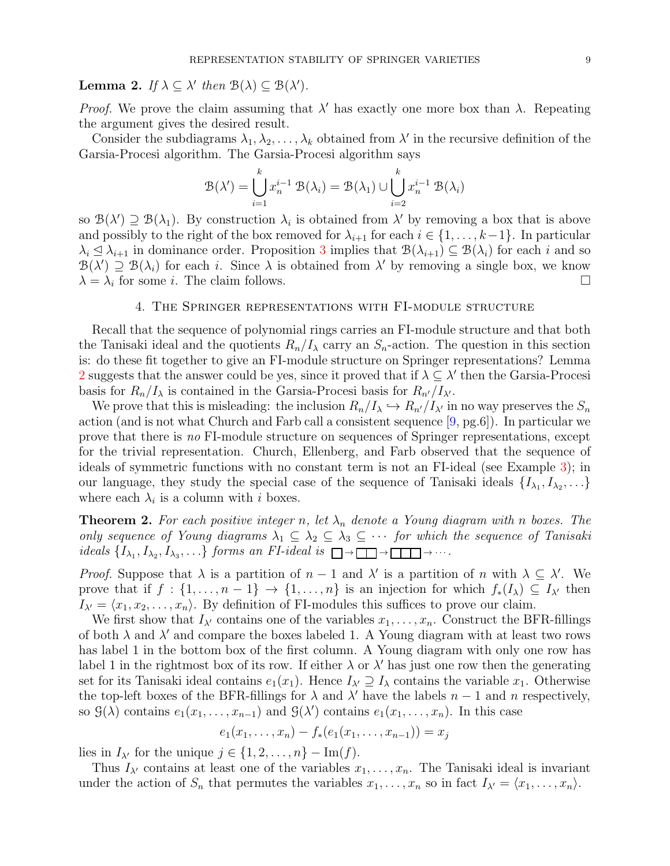<span id="page-8-1"></span>**Lemma 2.** *If*  $\lambda \subseteq \lambda'$  *then*  $\mathcal{B}(\lambda) \subseteq \mathcal{B}(\lambda')$ *.* 

*Proof.* We prove the claim assuming that  $\lambda'$  has exactly one more box than  $\lambda$ . Repeating the argument gives the desired result.

Consider the subdiagrams  $\lambda_1, \lambda_2, \ldots, \lambda_k$  obtained from  $\lambda'$  in the recursive definition of the Garsia-Procesi algorithm. The Garsia-Procesi algorithm says

$$
\mathcal{B}(\lambda') = \bigcup_{i=1}^{k} x_n^{i-1} \mathcal{B}(\lambda_i) = \mathcal{B}(\lambda_1) \cup \bigcup_{i=2}^{k} x_n^{i-1} \mathcal{B}(\lambda_i)
$$

so  $\mathcal{B}(\lambda') \supseteq \mathcal{B}(\lambda_1)$ . By construction  $\lambda_i$  is obtained from  $\lambda'$  by removing a box that is above and possibly to the right of the box removed for  $\lambda_{i+1}$  for each  $i \in \{1, \ldots, k-1\}$ . In particular  $\lambda_i \leq \lambda_{i+1}$  in dominance order. Proposition [3](#page-7-0) implies that  $\mathcal{B}(\lambda_{i+1}) \subseteq \mathcal{B}(\lambda_i)$  for each i and so  $\mathcal{B}(\lambda') \supseteq \mathcal{B}(\lambda_i)$  for each i. Since  $\lambda$  is obtained from  $\lambda'$  by removing a single box, we know  $\lambda = \lambda_i$  for some *i*. The claim follows.

## 4. The Springer representations with FI-module structure

<span id="page-8-0"></span>Recall that the sequence of polynomial rings carries an FI-module structure and that both the Tanisaki ideal and the quotients  $R_n/I_\lambda$  carry an  $S_n$ -action. The question in this section is: do these fit together to give an FI-module structure on Springer representations? Lemma [2](#page-8-1) suggests that the answer could be yes, since it proved that if  $\lambda \subseteq \lambda'$  then the Garsia-Procesi basis for  $R_n/I_\lambda$  is contained in the Garsia-Procesi basis for  $R_{n'}/I_{\lambda'}$ .

We prove that this is misleading: the inclusion  $R_n/I_\lambda \hookrightarrow R_{n'}/I_{\lambda'}$  in no way preserves the  $S_n$ action (and is not what Church and Farb call a consistent sequence  $[9, pg.6]$  $[9, pg.6]$ ). In particular we prove that there is *no* FI-module structure on sequences of Springer representations, except for the trivial representation. Church, Ellenberg, and Farb observed that the sequence of ideals of symmetric functions with no constant term is not an FI-ideal (see Example [3\)](#page-3-1); in our language, they study the special case of the sequence of Tanisaki ideals  $\{I_{\lambda_1}, I_{\lambda_2}, \ldots\}$ where each  $\lambda_i$  is a column with i boxes.

**Theorem 2.** For each positive integer n, let  $\lambda_n$  denote a Young diagram with n boxes. The *only sequence of Young diagrams*  $\lambda_1 \subseteq \lambda_2 \subseteq \lambda_3 \subseteq \cdots$  *for which the sequence of Tanisaki ideals*  $\{I_{\lambda_1}, I_{\lambda_2}, I_{\lambda_3}, \ldots\}$  *forms an FI-ideal is*  $\Box \rightarrow \Box \rightarrow \Box \rightarrow \cdots$ .

*Proof.* Suppose that  $\lambda$  is a partition of  $n-1$  and  $\lambda'$  is a partition of n with  $\lambda \subseteq \lambda'$ . We prove that if  $f : \{1, \ldots, n-1\} \to \{1, \ldots, n\}$  is an injection for which  $f_*(I_\lambda) \subseteq I_{\lambda'}$  then  $I_{\lambda'} = \langle x_1, x_2, \ldots, x_n \rangle$ . By definition of FI-modules this suffices to prove our claim.

We first show that  $I_{\lambda'}$  contains one of the variables  $x_1, \ldots, x_n$ . Construct the BFR-fillings of both  $\lambda$  and  $\lambda'$  and compare the boxes labeled 1. A Young diagram with at least two rows has label 1 in the bottom box of the first column. A Young diagram with only one row has label 1 in the rightmost box of its row. If either  $\lambda$  or  $\lambda'$  has just one row then the generating set for its Tanisaki ideal contains  $e_1(x_1)$ . Hence  $I_{\lambda'} \supseteq I_{\lambda}$  contains the variable  $x_1$ . Otherwise the top-left boxes of the BFR-fillings for  $\lambda$  and  $\lambda'$  have the labels  $n-1$  and n respectively, so  $\mathcal{G}(\lambda)$  contains  $e_1(x_1,\ldots,x_{n-1})$  and  $\mathcal{G}(\lambda')$  contains  $e_1(x_1,\ldots,x_n)$ . In this case

$$
e_1(x_1,\ldots,x_n)-f_*(e_1(x_1,\ldots,x_{n-1}))=x_j
$$

lies in  $I_{\lambda'}$  for the unique  $j \in \{1, 2, \ldots, n\} - \text{Im}(f)$ .

Thus  $I_{\lambda'}$  contains at least one of the variables  $x_1, \ldots, x_n$ . The Tanisaki ideal is invariant under the action of  $S_n$  that permutes the variables  $x_1, \ldots, x_n$  so in fact  $I_{\lambda'} = \langle x_1, \ldots, x_n \rangle$ .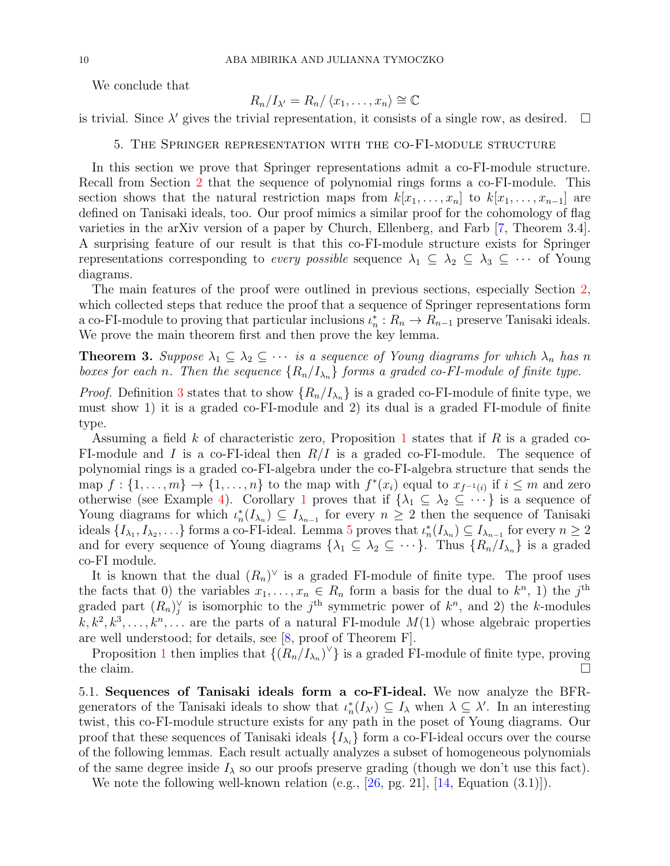We conclude that

$$
R_n/I_{\lambda'}=R_n/\langle x_1,\ldots,x_n\rangle\cong\mathbb{C}
$$

<span id="page-9-1"></span>is trivial. Since  $\lambda'$  gives the trivial representation, it consists of a single row, as desired.  $\Box$ 

## 5. The Springer representation with the co-FI-module structure

In this section we prove that Springer representations admit a co-FI-module structure. Recall from Section [2](#page-2-0) that the sequence of polynomial rings forms a co-FI-module. This section shows that the natural restriction maps from  $k[x_1, \ldots, x_n]$  to  $k[x_1, \ldots, x_{n-1}]$  are defined on Tanisaki ideals, too. Our proof mimics a similar proof for the cohomology of flag varieties in the arXiv version of a paper by Church, Ellenberg, and Farb [\[7,](#page-19-16) Theorem 3.4]. A surprising feature of our result is that this co-FI-module structure exists for Springer representations corresponding to *every possible* sequence  $\lambda_1 \subseteq \lambda_2 \subseteq \lambda_3 \subseteq \cdots$  of Young diagrams.

The main features of the proof were outlined in previous sections, especially Section [2,](#page-2-0) which collected steps that reduce the proof that a sequence of Springer representations form a co-FI-module to proving that particular inclusions  $\iota_n^* : R_n \to R_{n-1}$  preserve Tanisaki ideals. We prove the main theorem first and then prove the key lemma.

# <span id="page-9-0"></span>**Theorem 3.** Suppose  $\lambda_1 \subseteq \lambda_2 \subseteq \cdots$  *is a sequence of Young diagrams for which*  $\lambda_n$  *has* n *boxes for each n*. Then the sequence  ${R_n / I_{\lambda_n}}$  *forms a graded co-FI-module of finite type.*

*Proof.* Definition [3](#page-4-4) states that to show  $\{R_n/I_{\lambda_n}\}\$ is a graded co-FI-module of finite type, we must show 1) it is a graded co-FI-module and 2) its dual is a graded FI-module of finite type.

Assuming a field k of characteristic zero, Proposition [1](#page-5-1) states that if R is a graded co-FI-module and I is a co-FI-ideal then  $R/I$  is a graded co-FI-module. The sequence of polynomial rings is a graded co-FI-algebra under the co-FI-algebra structure that sends the map  $f: \{1, \ldots, m\} \to \{1, \ldots, n\}$  to the map with  $f^*(x_i)$  equal to  $x_{f^{-1}(i)}$  if  $i \leq m$  and zero otherwise (see Example [4\)](#page-4-3). Corollary [1](#page-4-5) proves that if  $\{\lambda_1 \subseteq \lambda_2 \subseteq \cdots\}$  is a sequence of Young diagrams for which  $\iota_n^*(I_{\lambda_n}) \subseteq I_{\lambda_{n-1}}$  for every  $n \geq 2$  then the sequence of Tanisaki ideals  $\{I_{\lambda_1}, I_{\lambda_2}, \ldots\}$  forms a co-FI-ideal. Lemma [5](#page-10-0) proves that  $\iota_n^*(I_{\lambda_n}) \subseteq I_{\lambda_{n-1}}$  for every  $n \geq 2$ and for every sequence of Young diagrams  $\{\lambda_1 \subseteq \lambda_2 \subseteq \cdots\}$ . Thus  $\{R_n/I_{\lambda_n}\}\$ is a graded co-FI module.

It is known that the dual  $(R_n)^\vee$  is a graded FI-module of finite type. The proof uses the facts that 0) the variables  $x_1, \ldots, x_n \in R_n$  form a basis for the dual to  $k^n$ , 1) the j<sup>th</sup> graded part  $(R_n)_j^{\vee}$  is isomorphic to the j<sup>th</sup> symmetric power of  $k^n$ , and 2) the k-modules  $k, k^2, k^3, \ldots, k^n, \ldots$  are the parts of a natural FI-module  $M(1)$  whose algebraic properties are well understood; for details, see [\[8,](#page-19-13) proof of Theorem F].

Proposition [1](#page-5-1) then implies that  $\{(R_n/I_{\lambda_n})^{\vee}\}\$ is a graded FI-module of finite type, proving the claim.  $\Box$ 

5.1. Sequences of Tanisaki ideals form a co-FI-ideal. We now analyze the BFRgenerators of the Tanisaki ideals to show that  $\iota_n^*(I_{\lambda}) \subseteq I_{\lambda}$  when  $\lambda \subseteq \lambda'$ . In an interesting twist, this co-FI-module structure exists for any path in the poset of Young diagrams. Our proof that these sequences of Tanisaki ideals  $\{I_{\lambda_i}\}\$ form a co-FI-ideal occurs over the course of the following lemmas. Each result actually analyzes a subset of homogeneous polynomials of the same degree inside  $I_{\lambda}$  so our proofs preserve grading (though we don't use this fact).

We note the following well-known relation (e.g., [\[26,](#page-19-21) pg. 21], [\[14,](#page-19-22) Equation (3.1)]).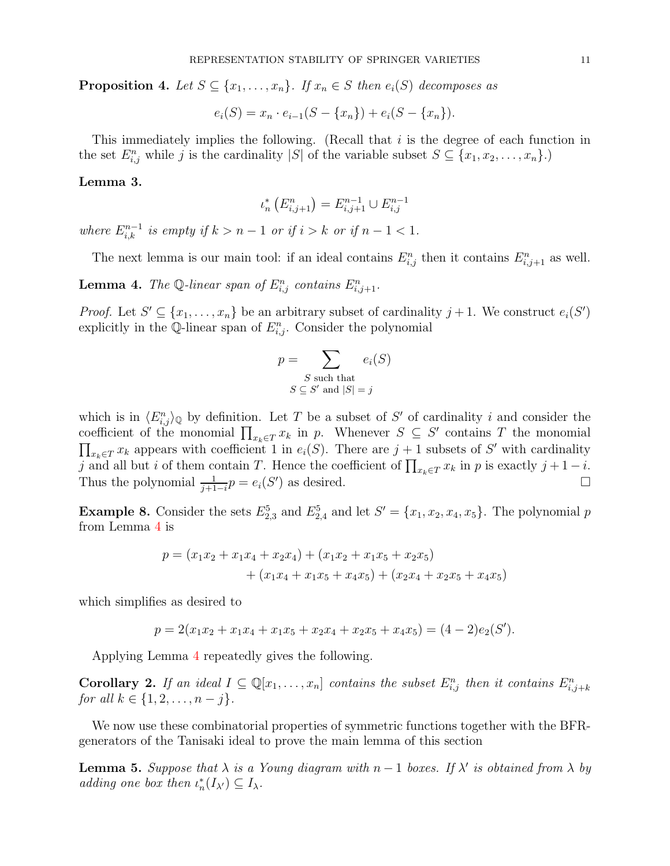**Proposition 4.** *Let*  $S \subseteq \{x_1, \ldots, x_n\}$ *. If*  $x_n \in S$  *then*  $e_i(S)$  *decomposes as* 

 $e_i(S) = x_n \cdot e_{i-1}(S - \{x_n\}) + e_i(S - \{x_n\}).$ 

This immediately implies the following. (Recall that  $i$  is the degree of each function in the set  $E_{i,j}^n$  while j is the cardinality |S| of the variable subset  $S \subseteq \{x_1, x_2, \ldots, x_n\}$ .)

## <span id="page-10-2"></span>Lemma 3.

$$
\iota_n^* \left( E_{i,j+1}^n \right) = E_{i,j+1}^{n-1} \cup E_{i,j}^{n-1}
$$

*where*  $E_{i,k}^{n-1}$  *is empty if*  $k > n - 1$  *or if*  $i > k$  *or if*  $n - 1 < 1$ *.* 

The next lemma is our main tool: if an ideal contains  $E_{i,j}^n$  then it contains  $E_{i,j+1}^n$  as well.

<span id="page-10-1"></span>**Lemma 4.** The Q-linear span of  $E_{i,j}^n$  contains  $E_{i,j+1}^n$ .

*Proof.* Let  $S' \subseteq \{x_1, \ldots, x_n\}$  be an arbitrary subset of cardinality  $j + 1$ . We construct  $e_i(S')$ explicitly in the Q-linear span of  $E_{i,j}^n$ . Consider the polynomial

$$
p = \sum_{\substack{S \text{ such that} \\ S \subseteq S' \text{ and } |S| = j}} e_i(S)
$$

which is in  $\langle E_{i,j}^n \rangle_{\mathbb{Q}}$  by definition. Let T be a subset of S' of cardinality i and consider the coefficient of the monomial  $\prod_{x_k \in T} x_k$  in p. Whenever  $S \subseteq S'$  contains T the monomial  $\prod_{x_k \in T} x_k$  appears with coefficient 1 in  $e_i(S)$ . There are  $j + 1$  subsets of S' with cardinality j and all but i of them contain T. Hence the coefficient of  $\prod_{x_k \in T} x_k$  in p is exactly  $j + 1 - i$ . Thus the polynomial  $\frac{1}{j+1-i}p = e_i(S')$  as desired.

**Example 8.** Consider the sets  $E_{2,3}^5$  and  $E_{2,4}^5$  and let  $S' = \{x_1, x_2, x_4, x_5\}$ . The polynomial p from Lemma [4](#page-10-1) is

$$
p = (x_1x_2 + x_1x_4 + x_2x_4) + (x_1x_2 + x_1x_5 + x_2x_5)
$$
  
+ 
$$
(x_1x_4 + x_1x_5 + x_4x_5) + (x_2x_4 + x_2x_5 + x_4x_5)
$$

which simplifies as desired to

$$
p = 2(x_1x_2 + x_1x_4 + x_1x_5 + x_2x_4 + x_2x_5 + x_4x_5) = (4 - 2)e_2(S').
$$

Applying Lemma [4](#page-10-1) repeatedly gives the following.

<span id="page-10-3"></span>Corollary 2. If an ideal  $I \subseteq \mathbb{Q}[x_1,\ldots,x_n]$  contains the subset  $E_{i,j}^n$  then it contains  $E_{i,j+k}^n$ *for all*  $k \in \{1, 2, \ldots, n - j\}.$ 

We now use these combinatorial properties of symmetric functions together with the BFRgenerators of the Tanisaki ideal to prove the main lemma of this section

<span id="page-10-0"></span>**Lemma 5.** Suppose that  $\lambda$  is a Young diagram with  $n-1$  boxes. If  $\lambda'$  is obtained from  $\lambda$  by *adding one box then*  $\iota_n^*(I_{\lambda}) \subseteq I_{\lambda}$ .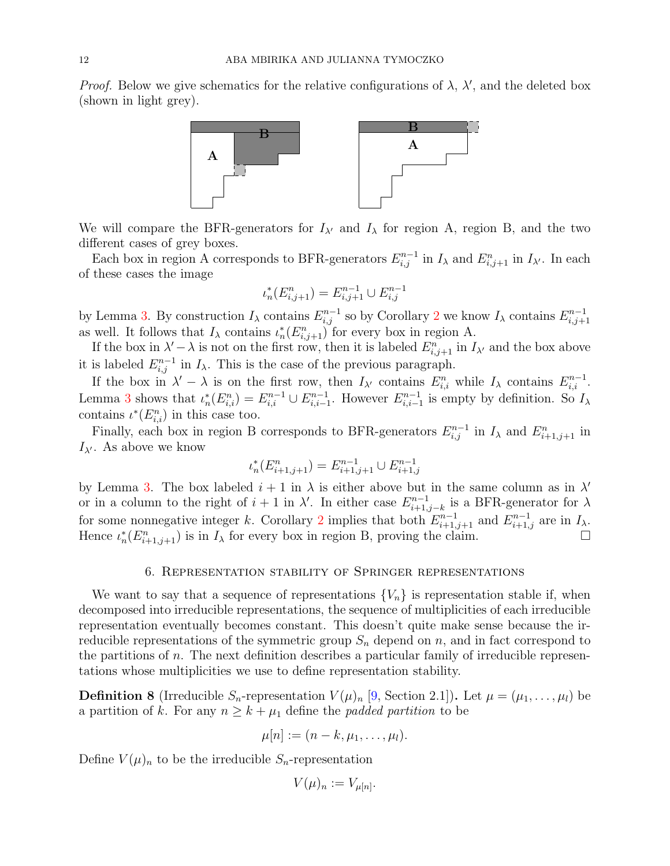*Proof.* Below we give schematics for the relative configurations of  $\lambda$ ,  $\lambda'$ , and the deleted box (shown in light grey).



We will compare the BFR-generators for  $I_{\lambda'}$  and  $I_{\lambda}$  for region A, region B, and the two different cases of grey boxes.

Each box in region A corresponds to BFR-generators  $E_{i,j}^{n-1}$  in  $I_\lambda$  and  $E_{i,j+1}^n$  in  $I_{\lambda'}$ . In each of these cases the image

$$
\iota_n^*(E_{i,j+1}^n) = E_{i,j+1}^{n-1} \cup E_{i,j}^{n-1}
$$

by Lemma [3.](#page-10-2) By construction  $I_\lambda$  contains  $E_{i,j}^{n-1}$  so by Corollary [2](#page-10-3) we know  $I_\lambda$  contains  $E_{i,j+1}^{n-1}$  $_{i,j+1}$ as well. It follows that  $I_{\lambda}$  contains  $\iota_n^*(E_{i,j+1}^n)$  for every box in region A.

If the box in  $\lambda' - \lambda$  is not on the first row, then it is labeled  $E_{i,j+1}^n$  in  $I_{\lambda'}$  and the box above it is labeled  $E_{i,j}^{n-1}$  in  $I_\lambda$ . This is the case of the previous paragraph.

If the box in  $\lambda' - \lambda$  is on the first row, then  $I_{\lambda'}$  contains  $E_{i,i}^n$  while  $I_{\lambda}$  contains  $E_{i,i}^{n-1}$ . Lemma [3](#page-10-2) shows that  $\iota_n^*(E_{i,i}^n) = E_{i,i}^{n-1} \cup E_{i,i-1}^{n-1}$ . However  $E_{i,i-1}^{n-1}$  is empty by definition. So  $I_\lambda$ contains  $\iota^*(E_{i,i}^n)$  in this case too.

Finally, each box in region B corresponds to BFR-generators  $E_{i,j}^{n-1}$  in  $I_\lambda$  and  $E_{i+1,j+1}^n$  in  $I_{\lambda'}$ . As above we know

$$
\iota_n^*(E_{i+1,j+1}^n) = E_{i+1,j+1}^{n-1} \cup E_{i+1,j}^{n-1}
$$

by Lemma [3.](#page-10-2) The box labeled  $i + 1$  in  $\lambda$  is either above but in the same column as in  $\lambda'$ or in a column to the right of  $i + 1$  in  $\lambda'$ . In either case  $E_{i+1}^{n-1}$  $i_{i+1,j-k}^{n-1}$  is a BFR-generator for  $\lambda$ for some nonnegative integer k. Corollary [2](#page-10-3) implies that both  $E_{i+1,j+1}^{n-1}$  and  $E_{i+1,j}^{n-1}$  are in  $I_\lambda$ . Hence  $\iota_n^*(E_{i+1,j+1}^n)$  is in  $I_\lambda$  for every box in region B, proving the claim.

## 6. Representation stability of Springer representations

<span id="page-11-0"></span>We want to say that a sequence of representations  ${V_n}$  is representation stable if, when decomposed into irreducible representations, the sequence of multiplicities of each irreducible representation eventually becomes constant. This doesn't quite make sense because the irreducible representations of the symmetric group  $S_n$  depend on n, and in fact correspond to the partitions of  $n$ . The next definition describes a particular family of irreducible representations whose multiplicities we use to define representation stability.

**Definition 8** (Irreducible  $S_n$ -representation  $V(\mu)_n$  [\[9,](#page-19-0) Section 2.1]). Let  $\mu = (\mu_1, \ldots, \mu_l)$  be a partition of k. For any  $n \geq k + \mu_1$  define the *padded partition* to be

$$
\mu[n] := (n-k, \mu_1, \ldots, \mu_l).
$$

Define  $V(\mu)_n$  to be the irreducible  $S_n$ -representation

$$
V(\mu)_n := V_{\mu[n]}.
$$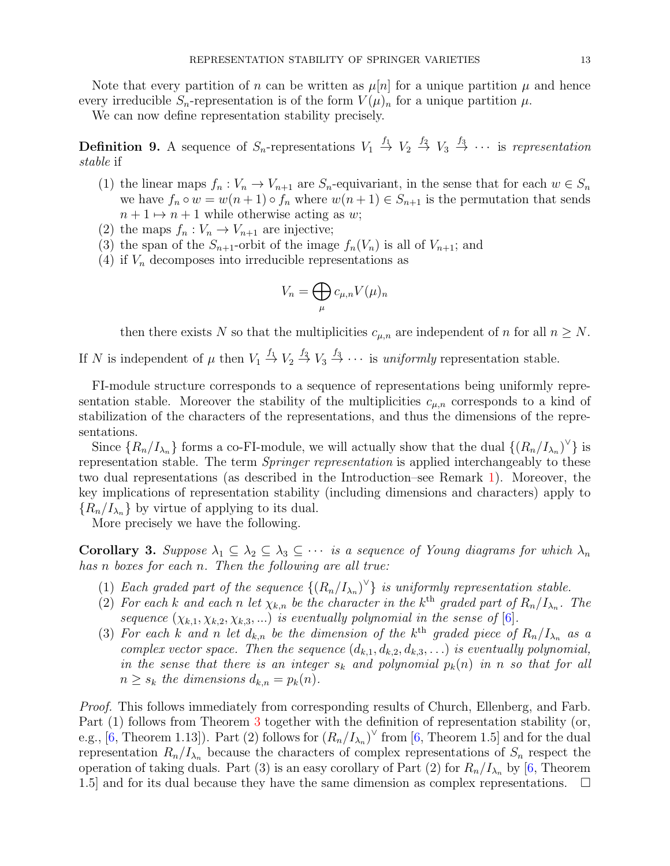Note that every partition of n can be written as  $\mu[n]$  for a unique partition  $\mu$  and hence every irreducible  $S_n$ -representation is of the form  $V(\mu)_n$  for a unique partition  $\mu$ .

We can now define representation stability precisely.

**Definition 9.** A sequence of  $S_n$ -representations  $V_1 \stackrel{f_1}{\rightarrow} V_2 \stackrel{f_2}{\rightarrow} V_3 \stackrel{f_3}{\rightarrow} \cdots$  is *representation stable* if

- (1) the linear maps  $f_n: V_n \to V_{n+1}$  are  $S_n$ -equivariant, in the sense that for each  $w \in S_n$ we have  $f_n \circ w = w(n+1) \circ f_n$  where  $w(n+1) \in S_{n+1}$  is the permutation that sends  $n + 1 \mapsto n + 1$  while otherwise acting as w;
- (2) the maps  $f_n: V_n \to V_{n+1}$  are injective;
- (3) the span of the  $S_{n+1}$ -orbit of the image  $f_n(V_n)$  is all of  $V_{n+1}$ ; and
- (4) if  $V_n$  decomposes into irreducible representations as

$$
V_n = \bigoplus_{\mu} c_{\mu,n} V(\mu)_n
$$

then there exists N so that the multiplicities  $c_{\mu,n}$  are independent of n for all  $n \geq N$ .

If N is independent of  $\mu$  then  $V_1 \stackrel{f_1}{\rightarrow} V_2 \stackrel{f_2}{\rightarrow} V_3 \stackrel{f_3}{\rightarrow} \cdots$  is *uniformly* representation stable.

FI-module structure corresponds to a sequence of representations being uniformly representation stable. Moreover the stability of the multiplicities  $c_{\mu,n}$  corresponds to a kind of stabilization of the characters of the representations, and thus the dimensions of the representations.

Since  $\{R_n/I_{\lambda_n}\}\$ forms a co-FI-module, we will actually show that the dual  $\{(R_n/I_{\lambda_n})^{\vee}\}\$ is representation stable. The term *Springer representation* is applied interchangeably to these two dual representations (as described in the Introduction–see Remark [1\)](#page-1-0). Moreover, the key implications of representation stability (including dimensions and characters) apply to  ${R_n/I_{\lambda_n}}$  by virtue of applying to its dual.

More precisely we have the following.

<span id="page-12-0"></span>**Corollary 3.** Suppose  $\lambda_1 \subseteq \lambda_2 \subseteq \lambda_3 \subseteq \cdots$  *is a sequence of Young diagrams for which*  $\lambda_n$ *has* n *boxes for each* n*. Then the following are all true:*

- (1) *Each graded part of the sequence*  $\{(R_n/I_{\lambda_n})^{\vee}\}\$ is uniformly representation stable.
- (2) For each k and each n let  $\chi_{k,n}$  be the character in the k<sup>th</sup> graded part of  $R_n/I_{\lambda_n}$ . The *sequence*  $(\chi_{k,1}, \chi_{k,2}, \chi_{k,3}, ...)$  *is eventually polynomial in the sense of* [\[6\]](#page-19-1).
- (3) For each k and n let  $d_{k,n}$  be the dimension of the k<sup>th</sup> graded piece of  $R_n/I_{\lambda_n}$  as a *complex vector space. Then the sequence*  $(d_{k,1}, d_{k,2}, d_{k,3}, ...)$  *is eventually polynomial, in the sense that there is an integer*  $s_k$  *and polynomial*  $p_k(n)$  *in n so that for all*  $n \geq s_k$  the dimensions  $d_{k,n} = p_k(n)$ .

*Proof.* This follows immediately from corresponding results of Church, Ellenberg, and Farb. Part (1) follows from Theorem [3](#page-9-0) together with the definition of representation stability (or, e.g., [\[6,](#page-19-1) Theorem 1.13]). Part (2) follows for  $(R_n/I_{\lambda_n})^{\vee}$  from [6, Theorem 1.5] and for the dual representation  $R_n/I_{\lambda_n}$  because the characters of complex representations of  $S_n$  respect the operation of taking duals. Part (3) is an easy corollary of Part (2) for  $R_n/I_{\lambda_n}$  by [\[6,](#page-19-1) Theorem 1.5] and for its dual because they have the same dimension as complex representations.  $\Box$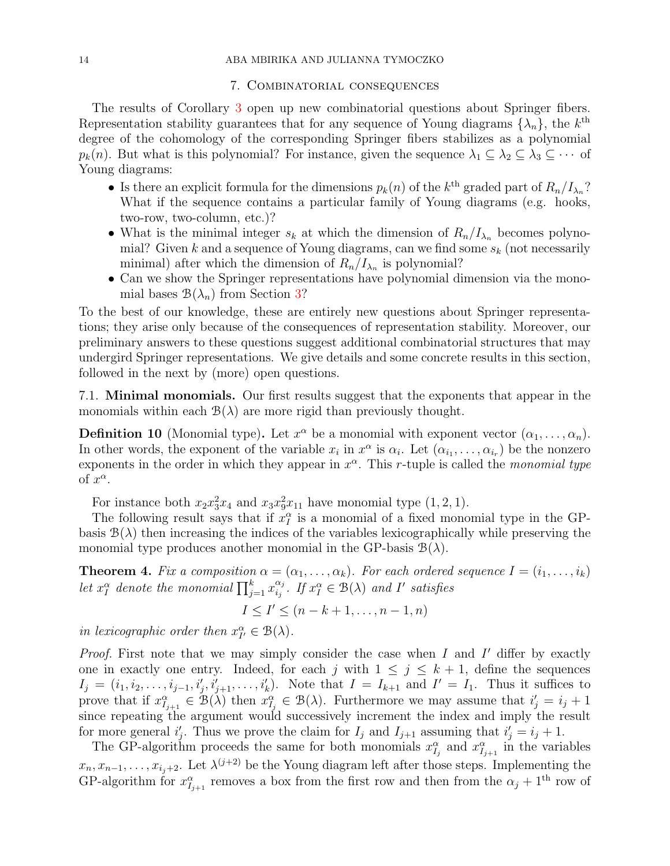#### 7. Combinatorial consequences

<span id="page-13-0"></span>The results of Corollary [3](#page-12-0) open up new combinatorial questions about Springer fibers. Representation stability guarantees that for any sequence of Young diagrams  $\{\lambda_n\}$ , the  $k^{\text{th}}$ degree of the cohomology of the corresponding Springer fibers stabilizes as a polynomial  $p_k(n)$ . But what is this polynomial? For instance, given the sequence  $\lambda_1 \subseteq \lambda_2 \subseteq \lambda_3 \subseteq \cdots$  of Young diagrams:

- Is there an explicit formula for the dimensions  $p_k(n)$  of the  $k^{\text{th}}$  graded part of  $R_n/I_{\lambda_n}$ ? What if the sequence contains a particular family of Young diagrams (e.g. hooks, two-row, two-column, etc.)?
- What is the minimal integer  $s_k$  at which the dimension of  $R_n/I_{\lambda_n}$  becomes polynomial? Given k and a sequence of Young diagrams, can we find some  $s_k$  (not necessarily minimal) after which the dimension of  $R_n/I_{\lambda_n}$  is polynomial?
- Can we show the Springer representations have polynomial dimension via the monomial bases  $\mathcal{B}(\lambda_n)$  from Section [3?](#page-5-0)

To the best of our knowledge, these are entirely new questions about Springer representations; they arise only because of the consequences of representation stability. Moreover, our preliminary answers to these questions suggest additional combinatorial structures that may undergird Springer representations. We give details and some concrete results in this section, followed in the next by (more) open questions.

<span id="page-13-2"></span>7.1. Minimal monomials. Our first results suggest that the exponents that appear in the monomials within each  $\mathcal{B}(\lambda)$  are more rigid than previously thought.

**Definition 10** (Monomial type). Let  $x^{\alpha}$  be a monomial with exponent vector  $(\alpha_1, \ldots, \alpha_n)$ . In other words, the exponent of the variable  $x_i$  in  $x^{\alpha}$  is  $\alpha_i$ . Let  $(\alpha_{i_1}, \ldots, \alpha_{i_r})$  be the nonzero exponents in the order in which they appear in  $x^{\alpha}$ . This r-tuple is called the *monomial type* of  $x^{\alpha}$ .

For instance both  $x_2x_3^2x_4$  and  $x_3x_9^2x_{11}$  have monomial type  $(1, 2, 1)$ .

The following result says that if  $x_I^{\alpha}$  is a monomial of a fixed monomial type in the GPbasis  $B(\lambda)$  then increasing the indices of the variables lexicographically while preserving the monomial type produces another monomial in the GP-basis  $\mathcal{B}(\lambda)$ .

<span id="page-13-1"></span>**Theorem 4.** *Fix a composition*  $\alpha = (\alpha_1, \ldots, \alpha_k)$ *. For each ordered sequence*  $I = (i_1, \ldots, i_k)$ *let*  $x_i^{\alpha}$  *denote the monomial*  $\prod_{j=1}^{k} x_{i_j}^{\alpha_j}$  $a_j^{\alpha_j}$ *.* If  $x_I^{\alpha} \in \mathcal{B}(\lambda)$  and I' satisfies

$$
I \leq I' \leq (n-k+1,\ldots,n-1,n)
$$

*in lexicographic order then*  $x_{I'}^{\alpha} \in \mathcal{B}(\lambda)$ *.* 

*Proof.* First note that we may simply consider the case when  $I$  and  $I'$  differ by exactly one in exactly one entry. Indeed, for each j with  $1 \leq j \leq k+1$ , define the sequences  $I_j = (i_1, i_2, \ldots, i_{j-1}, i'_j, i'_{j+1}, \ldots, i'_k)$ . Note that  $I = I_{k+1}$  and  $I' = I_1$ . Thus it suffices to prove that if  $x_{I_{j+1}}^{\alpha} \in \mathcal{B}(\lambda)$  then  $x_{I_j}^{\alpha} \in \mathcal{B}(\lambda)$ . Furthermore we may assume that  $i'_j = i_j + 1$ since repeating the argument would successively increment the index and imply the result for more general  $i'_j$ . Thus we prove the claim for  $I_j$  and  $I_{j+1}$  assuming that  $i'_j = i_j + 1$ .

The GP-algorithm proceeds the same for both monomials  $x_{I_j}^{\alpha}$  and  $x_{I_{j+1}}^{\alpha}$  in the variables  $x_n, x_{n-1}, \ldots, x_{i_j+2}$ . Let  $\lambda^{(j+2)}$  be the Young diagram left after those steps. Implementing the GP-algorithm for  $x^{\alpha}_{I_{j+1}}$  removes a box from the first row and then from the  $\alpha_j + 1^{\text{th}}$  row of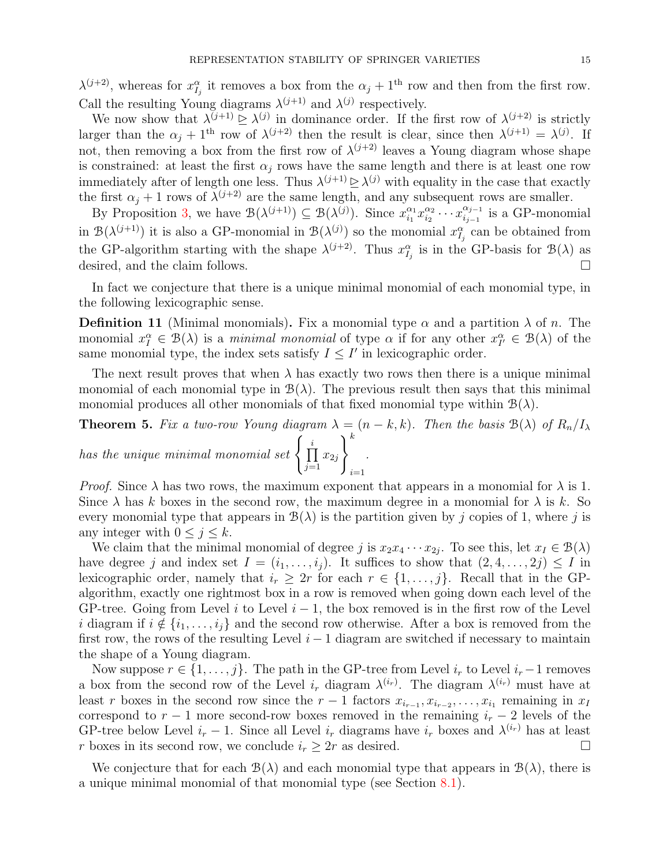$\lambda^{(j+2)}$ , whereas for  $x_{I_j}^{\alpha}$  it removes a box from the  $\alpha_j + 1^{\text{th}}$  row and then from the first row. Call the resulting Young diagrams  $\lambda^{(j+1)}$  and  $\lambda^{(j)}$  respectively.

We now show that  $\lambda^{(j+1)} \geq \lambda^{(j)}$  in dominance order. If the first row of  $\lambda^{(j+2)}$  is strictly larger than the  $\alpha_j + 1^{\text{th}}$  row of  $\lambda^{(j+2)}$  then the result is clear, since then  $\lambda^{(j+1)} = \lambda^{(j)}$ . If not, then removing a box from the first row of  $\lambda^{(j+2)}$  leaves a Young diagram whose shape is constrained: at least the first  $\alpha_j$  rows have the same length and there is at least one row immediately after of length one less. Thus  $\lambda^{(j+1)} \geq \lambda^{(j)}$  with equality in the case that exactly the first  $\alpha_j + 1$  rows of  $\lambda^{(j+2)}$  are the same length, and any subsequent rows are smaller.

By Proposition [3,](#page-7-0) we have  $\mathcal{B}(\lambda^{(j+1)}) \subseteq \mathcal{B}(\lambda^{(j)})$ . Since  $x_{i_1}^{\alpha_1}$  $\frac{\alpha_1}{i_1} x_{i_2}^{\alpha_2}$  $\frac{\alpha_2}{i_2} \cdots x_{i_{j-1}}^{\alpha_{j-1}}$  $\frac{\alpha_{j-1}}{i_{j-1}}$  is a GP-monomial in  $\mathcal{B}(\lambda^{(j+1)})$  it is also a GP-monomial in  $\mathcal{B}(\lambda^{(j)})$  so the monomial  $x_{I_j}^{\alpha}$  can be obtained from the GP-algorithm starting with the shape  $\lambda^{(j+2)}$ . Thus  $x_{I_j}^{\alpha}$  is in the GP-basis for  $\mathcal{B}(\lambda)$  as desired, and the claim follows.

In fact we conjecture that there is a unique minimal monomial of each monomial type, in the following lexicographic sense.

**Definition 11** (Minimal monomials). Fix a monomial type  $\alpha$  and a partition  $\lambda$  of n. The monomial  $x_I^{\alpha} \in \mathcal{B}(\lambda)$  is a *minimal monomial* of type  $\alpha$  if for any other  $x_{I'}^{\alpha} \in \mathcal{B}(\lambda)$  of the same monomial type, the index sets satisfy  $I \leq I'$  in lexicographic order.

The next result proves that when  $\lambda$  has exactly two rows then there is a unique minimal monomial of each monomial type in  $\mathcal{B}(\lambda)$ . The previous result then says that this minimal monomial produces all other monomials of that fixed monomial type within  $\mathcal{B}(\lambda)$ .

<span id="page-14-0"></span>**Theorem 5.** *Fix a two-row Young diagram*  $\lambda = (n - k, k)$ *. Then the basis*  $\mathcal{B}(\lambda)$  *of*  $R_n/I_\lambda$ *has the unique minimal monomial set*  $\begin{cases} i \\ \prod \end{cases}$  $x_{2j}$  $\lambda^k$ *.*

 $\frac{i=1}{i}$ 

 $j=1$ 

*Proof.* Since  $\lambda$  has two rows, the maximum exponent that appears in a monomial for  $\lambda$  is 1. Since  $\lambda$  has k boxes in the second row, the maximum degree in a monomial for  $\lambda$  is k. So every monomial type that appears in  $\mathcal{B}(\lambda)$  is the partition given by j copies of 1, where j is any integer with  $0 \leq j \leq k$ .

We claim that the minimal monomial of degree j is  $x_2x_4 \cdots x_{2j}$ . To see this, let  $x_I \in \mathcal{B}(\lambda)$ have degree j and index set  $I = (i_1, \ldots, i_j)$ . It suffices to show that  $(2, 4, \ldots, 2j) \leq I$  in lexicographic order, namely that  $i_r \geq 2r$  for each  $r \in \{1, \ldots, j\}$ . Recall that in the GPalgorithm, exactly one rightmost box in a row is removed when going down each level of the GP-tree. Going from Level i to Level  $i-1$ , the box removed is in the first row of the Level i diagram if  $i \notin \{i_1, \ldots, i_j\}$  and the second row otherwise. After a box is removed from the first row, the rows of the resulting Level  $i - 1$  diagram are switched if necessary to maintain the shape of a Young diagram.

Now suppose  $r \in \{1, \ldots, j\}$ . The path in the GP-tree from Level  $i_r$  to Level  $i_r - 1$  removes a box from the second row of the Level  $i_r$  diagram  $\lambda^{(i_r)}$ . The diagram  $\lambda^{(i_r)}$  must have at least r boxes in the second row since the  $r-1$  factors  $x_{i_{r-1}}, x_{i_{r-2}}, \ldots, x_{i_1}$  remaining in  $x_1$ correspond to  $r - 1$  more second-row boxes removed in the remaining  $i_r - 2$  levels of the GP-tree below Level  $i_r - 1$ . Since all Level  $i_r$  diagrams have  $i_r$  boxes and  $\lambda^{(i_r)}$  has at least r boxes in its second row, we conclude  $i_r \geq 2r$  as desired.

We conjecture that for each  $\mathcal{B}(\lambda)$  and each monomial type that appears in  $\mathcal{B}(\lambda)$ , there is a unique minimal monomial of that monomial type (see Section [8.1\)](#page-17-1).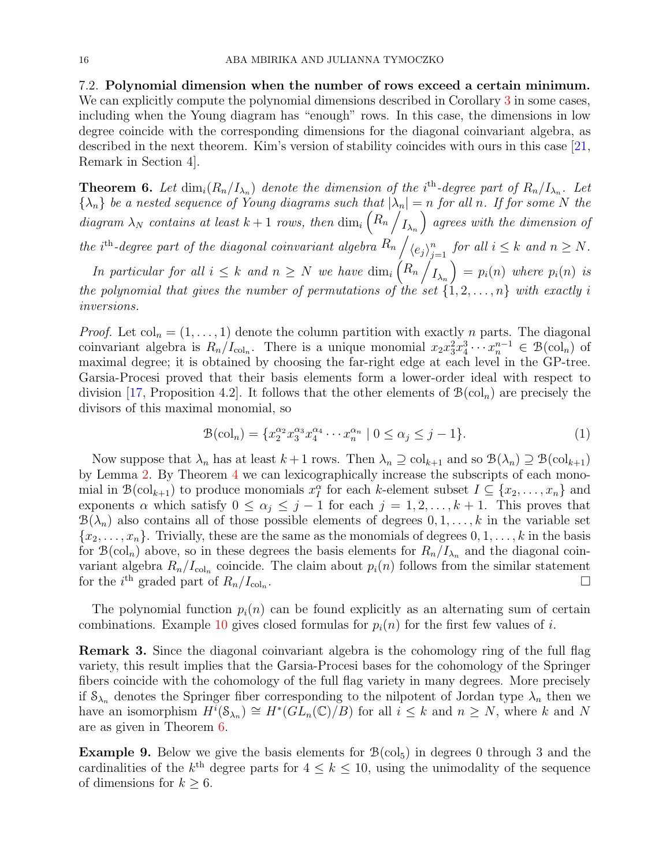<span id="page-15-1"></span>7.2. Polynomial dimension when the number of rows exceed a certain minimum. We can explicitly compute the polynomial dimensions described in Corollary [3](#page-12-0) in some cases, including when the Young diagram has "enough" rows. In this case, the dimensions in low degree coincide with the corresponding dimensions for the diagonal coinvariant algebra, as described in the next theorem. Kim's version of stability coincides with ours in this case [\[21,](#page-19-12) Remark in Section 4].

<span id="page-15-0"></span>**Theorem 6.** Let  $\dim_i(R_n/I_{\lambda_n})$  denote the dimension of the i<sup>th</sup>-degree part of  $R_n/I_{\lambda_n}$ . Let  ${\lambda_n}$  *be a nested sequence of Young diagrams such that*  $|\lambda_n| = n$  *for all n. If for some* N *the*  $diagram \lambda_N$  *contains at least*  $k + 1$  *rows, then* dim<sub>i</sub>  $\left(R_n\right)$  $I_{\lambda_n}$  *agrees with the dimension of the i*<sup>th</sup>-degree part of the diagonal coinvariant algebra  $R_n$  /  $\langle e_j \rangle_i^n$  $\sum_{j=1}^n$  for all  $i \leq k$  and  $n \geq N$ . *In particular for all*  $i \leq k$  *and*  $n \geq N$  *we have*  $\dim_i \left(R_n\right)$  $I_{\lambda_n}$  $= p_i(n)$  *where*  $p_i(n)$  *is the polynomial that gives the number of permutations of the set*  $\{1, 2, \ldots, n\}$  *with exactly i inversions.*

*Proof.* Let  $col_n = (1, \ldots, 1)$  denote the column partition with exactly n parts. The diagonal coinvariant algebra is  $R_n/I_{\text{col}_n}$ . There is a unique monomial  $x_2x_3^2x_4^3\cdots x_n^{n-1} \in \mathcal{B}(\text{col}_n)$  of maximal degree; it is obtained by choosing the far-right edge at each level in the GP-tree. Garsia-Procesi proved that their basis elements form a lower-order ideal with respect to division [\[17,](#page-19-10) Proposition 4.2]. It follows that the other elements of  $\mathcal{B}(\mathrm{col}_n)$  are precisely the divisors of this maximal monomial, so

$$
\mathcal{B}(\text{col}_n) = \{ x_2^{\alpha_2} x_3^{\alpha_3} x_4^{\alpha_4} \cdots x_n^{\alpha_n} \mid 0 \le \alpha_j \le j - 1 \}.
$$
 (1)

Now suppose that  $\lambda_n$  has at least  $k+1$  rows. Then  $\lambda_n \supseteq \text{col}_{k+1}$  and so  $\mathcal{B}(\lambda_n) \supseteq \mathcal{B}(\text{col}_{k+1})$ by Lemma [2.](#page-8-1) By Theorem [4](#page-13-1) we can lexicographically increase the subscripts of each monomial in  $\mathcal{B}(\text{col}_{k+1})$  to produce monomials  $x_I^{\alpha}$  for each k-element subset  $I \subseteq \{x_2, \ldots, x_n\}$  and exponents  $\alpha$  which satisfy  $0 \leq \alpha_j \leq j-1$  for each  $j = 1, 2, ..., k+1$ . This proves that  $\mathcal{B}(\lambda_n)$  also contains all of those possible elements of degrees  $0, 1, \ldots, k$  in the variable set  ${x_2, \ldots, x_n}$ . Trivially, these are the same as the monomials of degrees  $0, 1, \ldots, k$  in the basis for  $\mathcal{B}(\text{col}_n)$  above, so in these degrees the basis elements for  $R_n/I_{\lambda_n}$  and the diagonal coinvariant algebra  $R_n/I_{\text{col}_n}$  coincide. The claim about  $p_i(n)$  follows from the similar statement for the *i*<sup>th</sup> graded part of  $R_n/I_{\text{col}_n}$ .

The polynomial function  $p_i(n)$  can be found explicitly as an alternating sum of certain combinations. Example [10](#page-16-0) gives closed formulas for  $p_i(n)$  for the first few values of i.

Remark 3. Since the diagonal coinvariant algebra is the cohomology ring of the full flag variety, this result implies that the Garsia-Procesi bases for the cohomology of the Springer fibers coincide with the cohomology of the full flag variety in many degrees. More precisely if  $S_{\lambda_n}$  denotes the Springer fiber corresponding to the nilpotent of Jordan type  $\lambda_n$  then we have an isomorphism  $H^{i}(\mathcal{S}_{\lambda_n}) \cong H^{*}(GL_n(\mathbb{C})/B)$  for all  $i \leq k$  and  $n \geq N$ , where k and N are as given in Theorem [6.](#page-15-0)

**Example 9.** Below we give the basis elements for  $\mathcal{B}(\text{col}_5)$  in degrees 0 through 3 and the cardinalities of the  $k^{\text{th}}$  degree parts for  $4 \leq k \leq 10$ , using the unimodality of the sequence of dimensions for  $k \geq 6$ .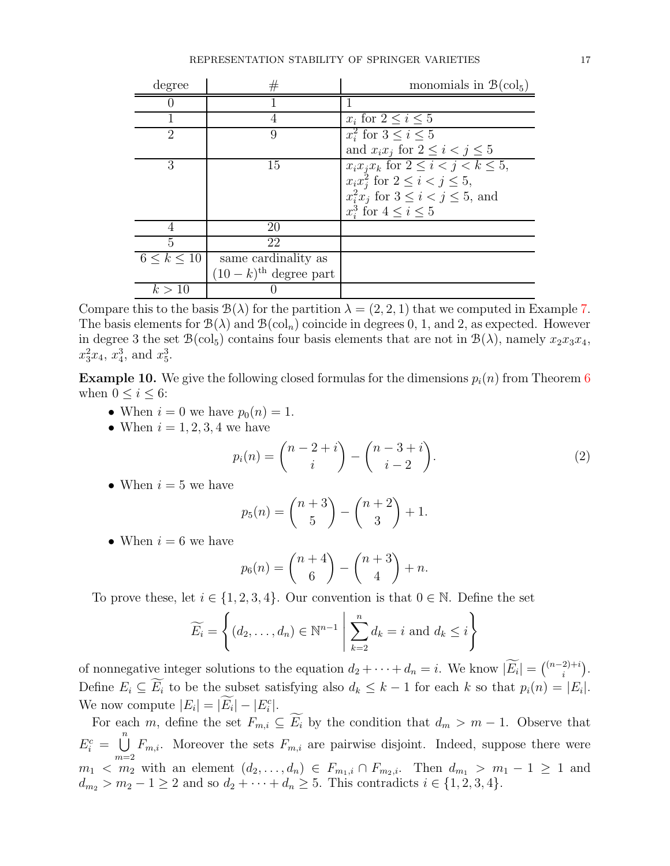| degree             | $^{\#}$                            | monomials in $\mathcal{B}(\text{col}_5)$      |
|--------------------|------------------------------------|-----------------------------------------------|
|                    |                                    |                                               |
|                    | 4                                  | $x_i$ for $2 \leq i \leq 5$                   |
| 2                  | 9                                  | $x_i^2$ for $3 \leq i \leq 5$                 |
|                    |                                    | and $x_i x_j$ for $2 \leq i < j \leq 5$       |
| 3                  | 15                                 | $x_i x_j x_k$ for $2 \leq i < j < k \leq 5$ , |
|                    |                                    | $x_ix_i^2$ for $2 \leq i < j \leq 5$ ,        |
|                    |                                    | $x_i^2 x_j$ for $3 \leq i < j \leq 5$ , and   |
|                    |                                    | $x_i^3$ for $4 \leq i \leq 5$                 |
|                    | 20                                 |                                               |
| 5                  | 22                                 |                                               |
| $6 \leq k \leq 10$ | same cardinality as                |                                               |
|                    | $(10-k)$ <sup>th</sup> degree part |                                               |
| k > 10             |                                    |                                               |

Compare this to the basis  $\mathcal{B}(\lambda)$  for the partition  $\lambda = (2, 2, 1)$  that we computed in Example [7.](#page-7-1) The basis elements for  $\mathcal{B}(\lambda)$  and  $\mathcal{B}(\text{col}_n)$  coincide in degrees 0, 1, and 2, as expected. However in degree 3 the set  $\mathcal{B}(\text{col}_5)$  contains four basis elements that are not in  $\mathcal{B}(\lambda)$ , namely  $x_2x_3x_4$ ,  $x_3^2x_4$ ,  $x_4^3$ , and  $x_5^3$ .

<span id="page-16-0"></span>**Example 10.** We give the following closed formulas for the dimensions  $p_i(n)$  from Theorem [6](#page-15-0) when  $0 \leq i \leq 6$ :

- When  $i = 0$  we have  $p_0(n) = 1$ .
- When  $i = 1, 2, 3, 4$  we have

<span id="page-16-1"></span>
$$
p_i(n) = \binom{n-2+i}{i} - \binom{n-3+i}{i-2}.
$$
 (2)

• When  $i = 5$  we have

$$
p_5(n) = {n+3 \choose 5} - {n+2 \choose 3} + 1.
$$

• When  $i = 6$  we have

$$
p_6(n) = {n+4 \choose 6} - {n+3 \choose 4} + n.
$$

To prove these, let  $i \in \{1, 2, 3, 4\}$ . Our convention is that  $0 \in \mathbb{N}$ . Define the set

$$
\widetilde{E_i} = \left\{ (d_2, \dots, d_n) \in \mathbb{N}^{n-1} \mid \sum_{k=2}^n d_k = i \text{ and } d_k \le i \right\}
$$

of nonnegative integer solutions to the equation  $d_2 + \cdots + d_n = i$ . We know  $|\widetilde{E_i}| = {n-2+i \choose i}$  $i^{2)+i}$ . Define  $E_i \subseteq E_i$  to be the subset satisfying also  $d_k \leq k-1$  for each k so that  $p_i(n) = |E_i|$ . We now compute  $|E_i| = |E_i| - |E_i^c|$ .

For each m, define the set  $F_{m,i} \subseteq \widetilde{E_i}$  by the condition that  $d_m > m - 1$ . Observe that  $E_i^c = \bigcup_{i=1}^{n} F_{m,i}$ . Moreover the sets  $F_{m,i}$  are pairwise disjoint. Indeed, suppose there were  $m=2$  $m_1 < m_2$  with an element  $(d_2, ..., d_n) \in F_{m_1,i} \cap F_{m_2,i}$ . Then  $d_{m_1} > m_1 - 1 \geq 1$  and  $d_{m_2} > m_2 - 1 \ge 2$  and so  $d_2 + \cdots + d_n \ge 5$ . This contradicts  $i \in \{1, 2, 3, 4\}$ .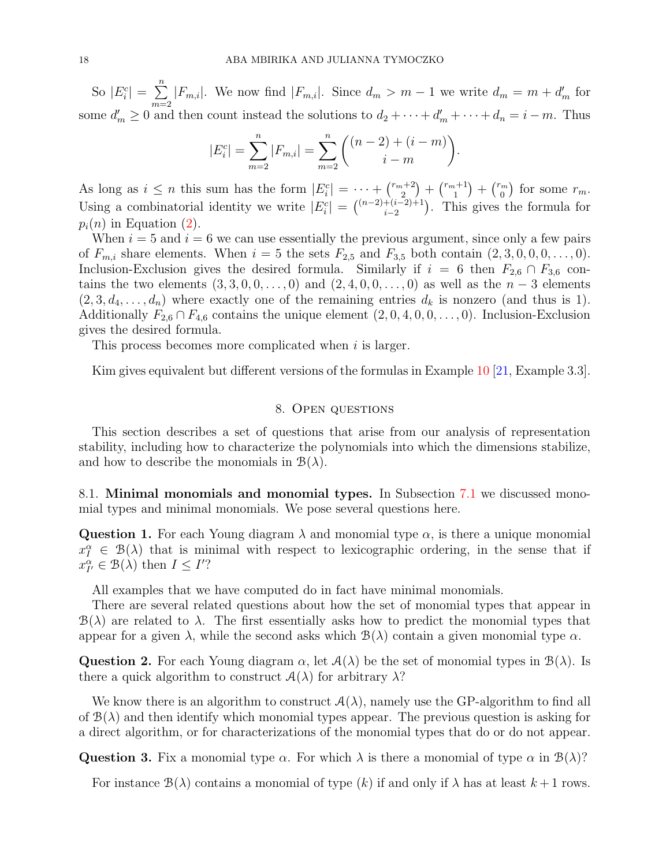So  $|E_i^c| = \sum_{i=1}^{n}$  $m=2$  $|F_{m,i}|$ . We now find  $|F_{m,i}|$ . Since  $d_m > m-1$  we write  $d_m = m + d'_m$  for some  $d'_m \geq 0$  and then count instead the solutions to  $d_2 + \cdots + d'_m + \cdots + d_n = i - m$ . Thus

$$
|E_i^c| = \sum_{m=2}^n |F_{m,i}| = \sum_{m=2}^n \binom{(n-2) + (i-m)}{i-m}
$$

.

As long as  $i \leq n$  this sum has the form  $|E_i^c| = \cdots + \binom{r_m+2}{2}$  ${n+2 \choose 2} + {r_m+1 \choose 1}$  $\binom{n+1}{1} + \binom{r_m}{0}$  $\binom{m}{0}$  for some  $r_m$ . Using a combinatorial identity we write  $|E_i^c| = { (n-2)+(i-2)+1 \choose i-2}$  $\binom{+(i-2)+1}{i-2}$ . This gives the formula for  $p_i(n)$  in Equation [\(2\)](#page-16-1).

When  $i = 5$  and  $i = 6$  we can use essentially the previous argument, since only a few pairs of  $F_{m,i}$  share elements. When  $i = 5$  the sets  $F_{2,5}$  and  $F_{3,5}$  both contain  $(2, 3, 0, 0, 0, \ldots, 0)$ . Inclusion-Exclusion gives the desired formula. Similarly if  $i = 6$  then  $F_{2,6} \cap F_{3,6}$  contains the two elements  $(3, 3, 0, 0, \ldots, 0)$  and  $(2, 4, 0, 0, \ldots, 0)$  as well as the  $n-3$  elements  $(2,3,d_4,\ldots,d_n)$  where exactly one of the remaining entries  $d_k$  is nonzero (and thus is 1). Additionally  $F_{2,6} \cap F_{4,6}$  contains the unique element  $(2, 0, 4, 0, 0, \ldots, 0)$ . Inclusion-Exclusion gives the desired formula.

This process becomes more complicated when i is larger.

<span id="page-17-0"></span>Kim gives equivalent but different versions of the formulas in Example [10](#page-16-0) [\[21,](#page-19-12) Example 3.3].

## 8. Open questions

This section describes a set of questions that arise from our analysis of representation stability, including how to characterize the polynomials into which the dimensions stabilize, and how to describe the monomials in  $\mathcal{B}(\lambda)$ .

<span id="page-17-1"></span>8.1. Minimal monomials and monomial types. In Subsection [7.1](#page-13-2) we discussed monomial types and minimal monomials. We pose several questions here.

Question 1. For each Young diagram  $\lambda$  and monomial type  $\alpha$ , is there a unique monomial  $x_I^{\alpha} \in \mathcal{B}(\lambda)$  that is minimal with respect to lexicographic ordering, in the sense that if  $x_{I'}^{\alpha} \in \mathcal{B}(\lambda)$  then  $I \leq I'$ ?

All examples that we have computed do in fact have minimal monomials.

There are several related questions about how the set of monomial types that appear in  $B(\lambda)$  are related to  $\lambda$ . The first essentially asks how to predict the monomial types that appear for a given  $\lambda$ , while the second asks which  $\mathcal{B}(\lambda)$  contain a given monomial type  $\alpha$ .

**Question 2.** For each Young diagram  $\alpha$ , let  $A(\lambda)$  be the set of monomial types in  $B(\lambda)$ . Is there a quick algorithm to construct  $A(\lambda)$  for arbitrary  $\lambda$ ?

We know there is an algorithm to construct  $A(\lambda)$ , namely use the GP-algorithm to find all of  $\mathcal{B}(\lambda)$  and then identify which monomial types appear. The previous question is asking for a direct algorithm, or for characterizations of the monomial types that do or do not appear.

**Question 3.** Fix a monomial type  $\alpha$ . For which  $\lambda$  is there a monomial of type  $\alpha$  in  $\mathcal{B}(\lambda)$ ?

For instance  $\mathcal{B}(\lambda)$  contains a monomial of type  $(k)$  if and only if  $\lambda$  has at least  $k+1$  rows.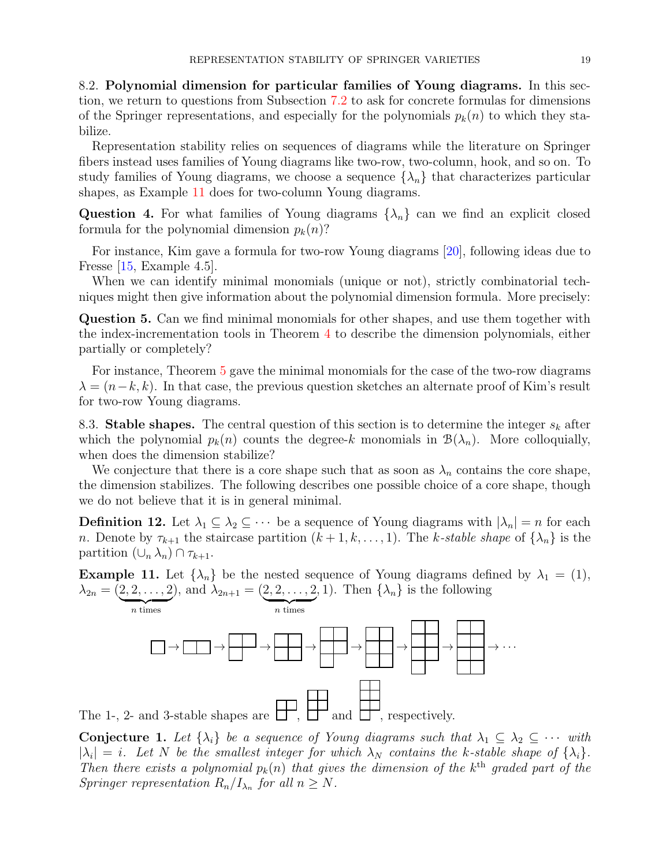8.2. Polynomial dimension for particular families of Young diagrams. In this section, we return to questions from Subsection [7.2](#page-15-1) to ask for concrete formulas for dimensions of the Springer representations, and especially for the polynomials  $p_k(n)$  to which they stabilize.

Representation stability relies on sequences of diagrams while the literature on Springer fibers instead uses families of Young diagrams like two-row, two-column, hook, and so on. To study families of Young diagrams, we choose a sequence  $\{\lambda_n\}$  that characterizes particular shapes, as Example [11](#page-18-0) does for two-column Young diagrams.

**Question 4.** For what families of Young diagrams  $\{\lambda_n\}$  can we find an explicit closed formula for the polynomial dimension  $p_k(n)$ ?

For instance, Kim gave a formula for two-row Young diagrams [\[20\]](#page-19-23), following ideas due to Fresse [\[15,](#page-19-24) Example 4.5].

When we can identify minimal monomials (unique or not), strictly combinatorial techniques might then give information about the polynomial dimension formula. More precisely:

Question 5. Can we find minimal monomials for other shapes, and use them together with the index-incrementation tools in Theorem [4](#page-13-1) to describe the dimension polynomials, either partially or completely?

For instance, Theorem [5](#page-14-0) gave the minimal monomials for the case of the two-row diagrams  $\lambda = (n-k, k)$ . In that case, the previous question sketches an alternate proof of Kim's result for two-row Young diagrams.

8.3. Stable shapes. The central question of this section is to determine the integer  $s_k$  after which the polynomial  $p_k(n)$  counts the degree-k monomials in  $\mathcal{B}(\lambda_n)$ . More colloquially, when does the dimension stabilize?

We conjecture that there is a core shape such that as soon as  $\lambda_n$  contains the core shape, the dimension stabilizes. The following describes one possible choice of a core shape, though we do not believe that it is in general minimal.

**Definition 12.** Let  $\lambda_1 \subseteq \lambda_2 \subseteq \cdots$  be a sequence of Young diagrams with  $|\lambda_n| = n$  for each n. Denote by  $\tau_{k+1}$  the staircase partition  $(k+1, k, \ldots, 1)$ . The k-stable shape of  $\{\lambda_n\}$  is the partition  $(\cup_n \lambda_n) \cap \tau_{k+1}$ .

<span id="page-18-0"></span>**Example 11.** Let  $\{\lambda_n\}$  be the nested sequence of Young diagrams defined by  $\lambda_1 = (1)$ ,  $\lambda_{2n} = (2, 2, \ldots, 2)$ ), and  $\lambda_{2n+1} = (2, 2, \ldots, 2)$ , 1). Then  $\{\lambda_n\}$  is the following



**Conjecture 1.** Let  $\{\lambda_i\}$  be a sequence of Young diagrams such that  $\lambda_1 \subseteq \lambda_2 \subseteq \cdots$  with  $|\lambda_i| = i$ . Let N be the smallest integer for which  $\lambda_N$  contains the k-stable shape of  $\{\lambda_i\}$ . *Then there exists a polynomial*  $p_k(n)$  *that gives the dimension of the*  $k^{\text{th}}$  *graded part of the Springer representation*  $R_n/I_{\lambda_n}$  *for all*  $n \geq N$ *.*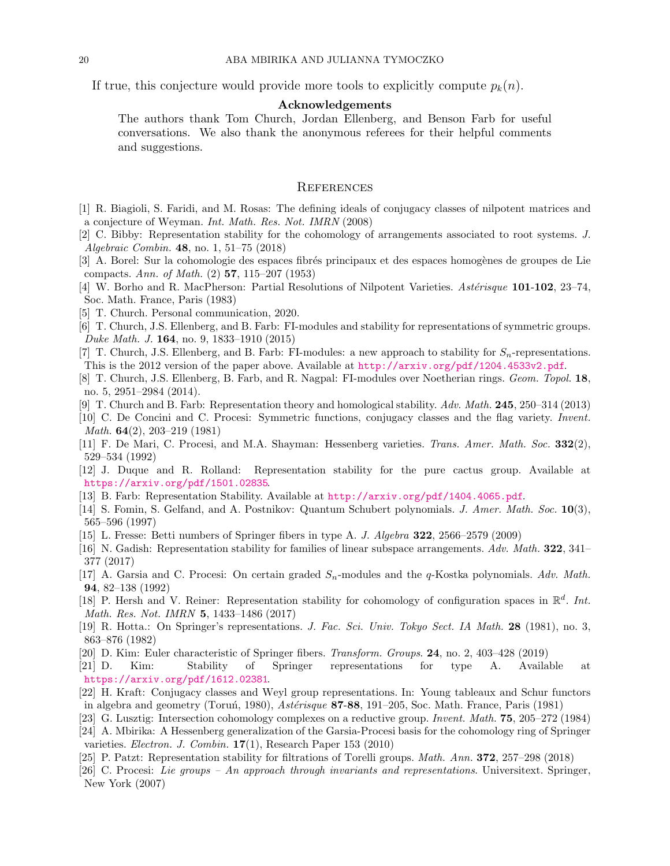If true, this conjecture would provide more tools to explicitly compute  $p_k(n)$ .

### Acknowledgements

The authors thank Tom Church, Jordan Ellenberg, and Benson Farb for useful conversations. We also thank the anonymous referees for their helpful comments and suggestions.

### **REFERENCES**

- <span id="page-19-18"></span><span id="page-19-2"></span>[1] R. Biagioli, S. Faridi, and M. Rosas: The defining ideals of conjugacy classes of nilpotent matrices and a conjecture of Weyman. Int. Math. Res. Not. IMRN (2008)
- [2] C. Bibby: Representation stability for the cohomology of arrangements associated to root systems. J. Algebraic Combin. 48, no. 1, 51–75 (2018)
- <span id="page-19-17"></span>[3] A. Borel: Sur la cohomologie des espaces fibrés principaux et des espaces homogènes de groupes de Lie compacts. Ann. of Math. (2) 57, 115–207 (1953)
- <span id="page-19-8"></span>[4] W. Borho and R. MacPherson: Partial Resolutions of Nilpotent Varieties. Astérisque 101-102, 23-74, Soc. Math. France, Paris (1983)
- <span id="page-19-14"></span><span id="page-19-1"></span>[5] T. Church. Personal communication, 2020.
- [6] T. Church, J.S. Ellenberg, and B. Farb: FI-modules and stability for representations of symmetric groups. Duke Math. J. 164, no. 9, 1833–1910 (2015)
- <span id="page-19-16"></span>[7] T. Church, J.S. Ellenberg, and B. Farb: FI-modules: a new approach to stability for  $S_n$ -representations. This is the 2012 version of the paper above. Available at <http://arxiv.org/pdf/1204.4533v2.pdf>.
- <span id="page-19-13"></span>[8] T. Church, J.S. Ellenberg, B. Farb, and R. Nagpal: FI-modules over Noetherian rings. Geom. Topol. 18, no. 5, 2951–2984 (2014).
- <span id="page-19-7"></span><span id="page-19-0"></span>[9] T. Church and B. Farb: Representation theory and homological stability. Adv. Math. 245, 250–314 (2013)
- [10] C. De Concini and C. Procesi: Symmetric functions, conjugacy classes and the flag variety. Invent. Math. 64(2), 203–219 (1981)
- [11] F. De Mari, C. Procesi, and M.A. Shayman: Hessenberg varieties. Trans. Amer. Math. Soc. 332(2), 529–534 (1992)
- <span id="page-19-6"></span>[12] J. Duque and R. Rolland: Representation stability for the pure cactus group. Available at <https://arxiv.org/pdf/1501.02835>.
- <span id="page-19-22"></span><span id="page-19-15"></span>[13] B. Farb: Representation Stability. Available at <http://arxiv.org/pdf/1404.4065.pdf>.
- [14] S. Fomin, S. Gelfand, and A. Postnikov: Quantum Schubert polynomials. *J. Amer. Math. Soc.* 10(3), 565–596 (1997)
- <span id="page-19-24"></span><span id="page-19-3"></span>[15] L. Fresse: Betti numbers of Springer fibers in type A. J. Algebra 322, 2566–2579 (2009)
- [16] N. Gadish: Representation stability for families of linear subspace arrangements. Adv. Math. 322, 341– 377 (2017)
- <span id="page-19-10"></span>[17] A. Garsia and C. Procesi: On certain graded  $S_n$ -modules and the q-Kostka polynomials. Adv. Math. 94, 82–138 (1992)
- <span id="page-19-4"></span>[18] P. Hersh and V. Reiner: Representation stability for cohomology of configuration spaces in  $\mathbb{R}^d$ . Int. Math. Res. Not. IMRN 5, 1433–1486 (2017)
- <span id="page-19-11"></span>[19] R. Hotta.: On Springer's representations. J. Fac. Sci. Univ. Tokyo Sect. IA Math. 28 (1981), no. 3, 863–876 (1982)
- <span id="page-19-23"></span><span id="page-19-12"></span>[20] D. Kim: Euler characteristic of Springer fibers. Transform. Groups. 24, no. 2, 403–428 (2019)
- [21] D. Kim: Stability of Springer representations for type A. Available at <https://arxiv.org/pdf/1612.02381>.
- <span id="page-19-19"></span>[22] H. Kraft: Conjugacy classes and Weyl group representations. In: Young tableaux and Schur functors in algebra and geometry (Toruń, 1980),  $Ast\acute{e}risque$  87-88, 191–205, Soc. Math. France, Paris (1981)
- <span id="page-19-20"></span><span id="page-19-9"></span>[23] G. Lusztig: Intersection cohomology complexes on a reductive group. Invent. Math. 75, 205–272 (1984)
- [24] A. Mbirika: A Hessenberg generalization of the Garsia-Procesi basis for the cohomology ring of Springer varieties. Electron. J. Combin. 17(1), Research Paper 153 (2010)
- <span id="page-19-21"></span><span id="page-19-5"></span>[25] P. Patzt: Representation stability for filtrations of Torelli groups. Math. Ann. 372, 257–298 (2018)
- [26] C. Procesi: Lie groups An approach through invariants and representations. Universitext. Springer, New York (2007)